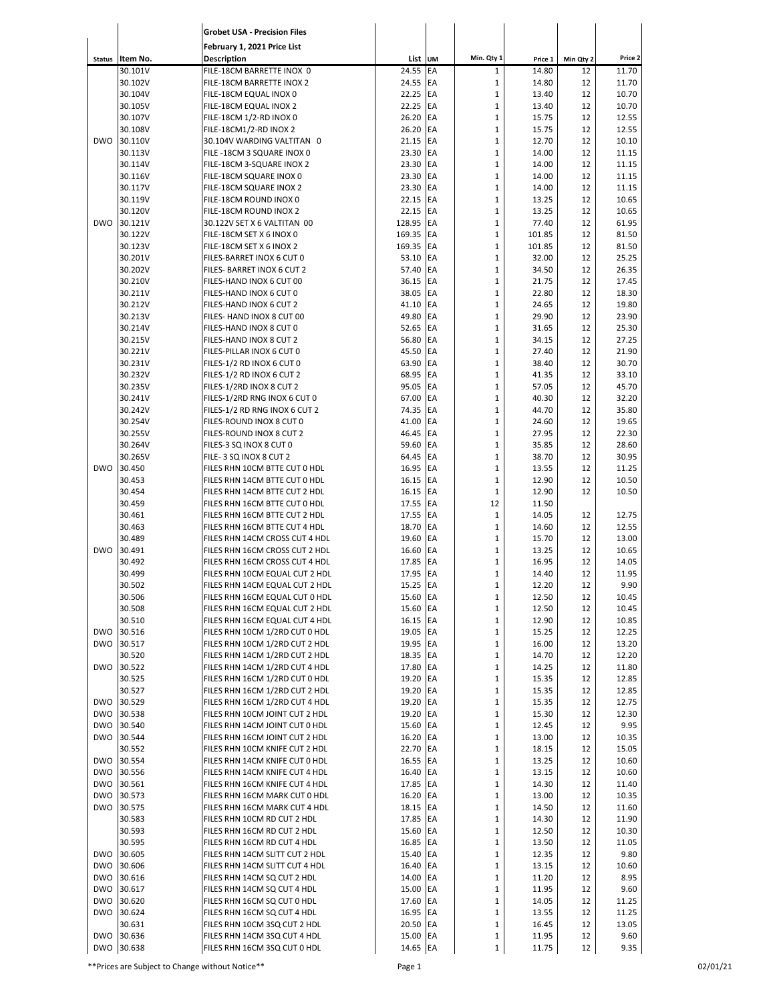|                          |                    | <b>Grobet USA - Precision Files</b>                            |                      |            |                             |                |           |                |
|--------------------------|--------------------|----------------------------------------------------------------|----------------------|------------|-----------------------------|----------------|-----------|----------------|
|                          |                    | February 1, 2021 Price List                                    |                      |            |                             |                |           |                |
| <b>Status</b>            | Item No.           | <b>Description</b>                                             |                      | List UM    | Min. Qty 1                  | Price 1        | Min Qty 2 | Price 2        |
|                          | 30.101V            | FILE-18CM BARRETTE INOX 0                                      | 24.55                | EA         | $\mathbf{1}$                | 14.80          | 12        | 11.70          |
|                          | 30.102V            | FILE-18CM BARRETTE INOX 2                                      | 24.55                | EA         | $\mathbf 1$                 | 14.80          | 12        | 11.70          |
|                          | 30.104V            | FILE-18CM EQUAL INOX 0                                         | 22.25                | EA         | $\mathbf 1$                 | 13.40          | 12        | 10.70          |
|                          | 30.105V            | FILE-18CM EQUAL INOX 2                                         | 22.25                | <b>EA</b>  | $\mathbf 1$                 | 13.40          | 12        | 10.70          |
|                          | 30.107V            | FILE-18CM 1/2-RD INOX 0                                        | 26.20 EA             |            | $\mathbf 1$                 | 15.75          | 12        | 12.55          |
|                          | 30.108V            | FILE-18CM1/2-RD INOX 2                                         | 26.20                | <b>EA</b>  | $\mathbf 1$                 | 15.75          | 12        | 12.55          |
| <b>DWO</b>               | 30.110V            | 30.104V WARDING VALTITAN 0                                     | 21.15                | <b>EA</b>  | $\mathbf 1$                 | 12.70          | 12        | 10.10          |
|                          | 30.113V            | FILE -18CM 3 SQUARE INOX 0                                     | 23.30                | EA         | $\mathbf{1}$                | 14.00          | 12        | 11.15          |
|                          | 30.114V            | FILE-18CM 3-SQUARE INOX 2                                      | 23.30                | EA         | $\mathbf 1$                 | 14.00          | 12        | 11.15          |
|                          | 30.116V            | FILE-18CM SQUARE INOX 0                                        | 23.30                | EA         | $\mathbf 1$                 | 14.00          | 12        | 11.15          |
|                          | 30.117V            | FILE-18CM SQUARE INOX 2                                        | 23.30                | EA         | $\mathbf 1$                 | 14.00          | 12        | 11.15          |
|                          | 30.119V            | FILE-18CM ROUND INOX 0                                         | 22.15 EA             |            | $\mathbf 1$                 | 13.25          | 12        | 10.65          |
|                          | 30.120V            | FILE-18CM ROUND INOX 2                                         | 22.15                | <b>IEA</b> | $\mathbf 1$                 | 13.25          | 12        | 10.65          |
| <b>DWO</b>               | 30.121V            | 30.122V SET X 6 VALTITAN 00                                    | 128.95 EA            |            | $\mathbf{1}$                | 77.40          | 12        | 61.95          |
|                          | 30.122V            | FILE-18CM SET X 6 INOX 0                                       | 169.35               | <b>EA</b>  | $\mathbf 1$                 | 101.85         | 12        | 81.50          |
|                          | 30.123V            | FILE-18CM SET X 6 INOX 2                                       | 169.35               | <b>EA</b>  | $\mathbf 1$                 | 101.85         | 12        | 81.50          |
|                          | 30.201V            | FILES-BARRET INOX 6 CUT 0                                      | 53.10 EA             |            | $\mathbf 1$                 | 32.00          | 12        | 25.25          |
|                          | 30.202V            | FILES- BARRET INOX 6 CUT 2                                     | 57.40                | EA         | $\mathbf 1$                 | 34.50          | 12        | 26.35          |
|                          | 30.210V            | FILES-HAND INOX 6 CUT 00                                       | 36.15                | EA         | $\mathbf{1}$                | 21.75          | 12        | 17.45          |
|                          | 30.211V            | FILES-HAND INOX 6 CUT 0                                        | 38.05                | EA         | $\mathbf 1$                 | 22.80          | 12        | 18.30          |
|                          | 30.212V            | FILES-HAND INOX 6 CUT 2                                        | 41.10                | EA         | $\mathbf{1}$                | 24.65          | 12        | 19.80          |
|                          | 30.213V            | FILES- HAND INOX 8 CUT 00                                      | 49.80                | EA         | $\mathbf 1$                 | 29.90          | 12        | 23.90          |
|                          | 30.214V            | FILES-HAND INOX 8 CUT 0                                        | 52.65 EA             |            | $\mathbf 1$                 | 31.65          | 12        | 25.30          |
|                          | 30.215V            | FILES-HAND INOX 8 CUT 2                                        | 56.80                | EA         | $\mathbf 1$                 | 34.15          | 12        | 27.25          |
|                          | 30.221V            | FILES-PILLAR INOX 6 CUT 0                                      | 45.50                | EA         | $\mathbf 1$                 | 27.40          | 12        | 21.90          |
|                          | 30.231V            | FILES-1/2 RD INOX 6 CUT 0                                      | 63.90<br>68.95 EA    | <b>IEA</b> | $\mathbf 1$<br>$\mathbf 1$  | 38.40<br>41.35 | 12<br>12  | 30.70          |
|                          | 30.232V<br>30.235V | FILES-1/2 RD INOX 6 CUT 2<br>FILES-1/2RD INOX 8 CUT 2          | 95.05 EA             |            | $\mathbf 1$                 | 57.05          | 12        | 33.10<br>45.70 |
|                          | 30.241V            | FILES-1/2RD RNG INOX 6 CUT 0                                   | 67.00 EA             |            | $\mathbf 1$                 | 40.30          | 12        | 32.20          |
|                          | 30.242V            | FILES-1/2 RD RNG INOX 6 CUT 2                                  | 74.35 EA             |            | $\mathbf 1$                 | 44.70          | 12        | 35.80          |
|                          | 30.254V            | FILES-ROUND INOX 8 CUT 0                                       | 41.00 EA             |            | $\mathbf 1$                 | 24.60          | 12        | 19.65          |
|                          | 30.255V            | FILES-ROUND INOX 8 CUT 2                                       | 46.45                | EA         | $\mathbf{1}$                | 27.95          | 12        | 22.30          |
|                          | 30.264V            | FILES-3 SQ INOX 8 CUT 0                                        | 59.60                | EA         | $\mathbf 1$                 | 35.85          | 12        | 28.60          |
|                          | 30.265V            | FILE-3 SQ INOX 8 CUT 2                                         | 64.45                | EA         | $\mathbf 1$                 | 38.70          | 12        | 30.95          |
| <b>DWO</b>               | 30.450             | FILES RHN 10CM BTTE CUT 0 HDL                                  | 16.95                | EA         | 1                           | 13.55          | 12        | 11.25          |
|                          | 30.453             | FILES RHN 14CM BTTE CUT 0 HDL                                  | 16.15 EA             |            | $\mathbf 1$                 | 12.90          | 12        | 10.50          |
|                          | 30.454             | FILES RHN 14CM BTTE CUT 2 HDL                                  | 16.15 EA             |            | $\mathbf 1$                 | 12.90          | 12        | 10.50          |
|                          | 30.459             | FILES RHN 16CM BTTE CUT 0 HDL                                  | 17.55 EA             |            | 12                          | 11.50          |           |                |
|                          | 30.461             | FILES RHN 16CM BTTE CUT 2 HDL                                  | 17.55 EA             |            | $\mathbf 1$                 | 14.05          | 12        | 12.75          |
|                          | 30.463             | FILES RHN 16CM BTTE CUT 4 HDL                                  | 18.70                | <b>EA</b>  | $\mathbf 1$                 | 14.60          | 12        | 12.55          |
|                          | 30.489             | FILES RHN 14CM CROSS CUT 4 HDL                                 | 19.60 EA             |            | 1                           | 15.70          | 12        | 13.00          |
| <b>DWO</b>               | 30.491             | FILES RHN 16CM CROSS CUT 2 HDL                                 | 16.60 EA             |            | $\mathbf 1$                 | 13.25          | 12        | 10.65          |
|                          | 30.492             | FILES RHN 16CM CROSS CUT 4 HDL                                 | 17.85 EA             |            | $\mathbf 1$                 | 16.95          | 12        | 14.05          |
|                          | 30.499             | FILES RHN 10CM EQUAL CUT 2 HDL                                 | 17.95 EA             |            | $\mathbf{1}$                | 14.40          | 12        | 11.95          |
|                          | 30.502             | FILES RHN 14CM EQUAL CUT 2 HDL                                 | 15.25 EA             |            | $\mathbf 1$                 | 12.20          | 12        | 9.90           |
|                          | 30.506             | FILES RHN 16CM EQUAL CUT 0 HDL                                 | 15.60 EA             |            | $\mathbf{1}$                | 12.50          | 12        | 10.45          |
|                          | 30.508             | FILES RHN 16CM EQUAL CUT 2 HDL                                 | 15.60 EA             |            | $\mathbf 1$                 | 12.50          | 12        | 10.45          |
|                          | 30.510             | FILES RHN 16CM EQUAL CUT 4 HDL                                 | 16.15 EA             |            | $\mathbf 1$                 | 12.90          | 12        | 10.85          |
| <b>DWO</b>               | 30.516             | FILES RHN 10CM 1/2RD CUT 0 HDL                                 | 19.05 EA             |            | $\mathbf 1$                 | 15.25          | 12        | 12.25          |
| <b>DWO</b>               | 30.517             | FILES RHN 10CM 1/2RD CUT 2 HDL                                 | 19.95 EA             |            | $\mathbf{1}$                | 16.00          | 12        | 13.20          |
|                          | 30.520             | FILES RHN 14CM 1/2RD CUT 2 HDL                                 | 18.35 EA             |            | $\mathbf 1$                 | 14.70          | 12        | 12.20          |
| <b>DWO</b>               | 30.522             | FILES RHN 14CM 1/2RD CUT 4 HDL                                 | 17.80 EA             |            | $\mathbf 1$                 | 14.25          | 12        | 11.80          |
|                          | 30.525             | FILES RHN 16CM 1/2RD CUT 0 HDL                                 | 19.20 EA             |            | $\mathbf 1$                 | 15.35          | 12        | 12.85          |
|                          | 30.527             | FILES RHN 16CM 1/2RD CUT 2 HDL                                 | 19.20 EA             |            | $\mathbf 1$                 | 15.35          | 12        | 12.85          |
| <b>DWO</b>               | 30.529             | FILES RHN 16CM 1/2RD CUT 4 HDL                                 | 19.20 EA             |            | $\mathbf 1$                 | 15.35          | 12        | 12.75          |
| <b>DWO</b>               | 30.538             | FILES RHN 10CM JOINT CUT 2 HDL                                 | 19.20 EA             |            | $\mathbf 1$                 | 15.30          | 12        | 12.30          |
| <b>DWO</b>               | 30.540             | FILES RHN 14CM JOINT CUT 0 HDL                                 | 15.60 EA             |            | $\mathbf 1$                 | 12.45          | 12        | 9.95           |
| <b>DWO</b>               | 30.544             | FILES RHN 16CM JOINT CUT 2 HDL                                 | 16.20 EA             |            | $\mathbf 1$                 | 13.00          | 12        | 10.35          |
|                          | 30.552             | FILES RHN 10CM KNIFE CUT 2 HDL                                 | 22.70 EA             |            | $\mathbf{1}$                | 18.15          | 12        | 15.05          |
| <b>DWO</b>               | 30.554             | FILES RHN 14CM KNIFE CUT 0 HDL                                 | 16.55 EA             |            | $\mathbf 1$                 | 13.25          | 12        | 10.60          |
|                          | DWO 30.556         | FILES RHN 14CM KNIFE CUT 4 HDL                                 | 16.40 EA             |            | $\mathbf 1$                 | 13.15          | 12        | 10.60          |
| <b>DWO</b>               | 30.561             | FILES RHN 16CM KNIFE CUT 4 HDL                                 | 17.85 EA             |            | $\mathbf 1$                 | 14.30          | 12        | 11.40          |
| <b>DWO</b><br><b>DWO</b> | 30.573             | FILES RHN 16CM MARK CUT 0 HDL<br>FILES RHN 16CM MARK CUT 4 HDL | 16.20 EA             |            | $\mathbf 1$<br>$\mathbf 1$  | 13.00<br>14.50 | 12<br>12  | 10.35<br>11.60 |
|                          | 30.575             | FILES RHN 10CM RD CUT 2 HDL                                    | 18.15 EA             |            | $\mathbf 1$                 |                | 12        | 11.90          |
|                          | 30.583<br>30.593   |                                                                | 17.85 EA             |            | $\mathbf 1$                 | 14.30          |           | 10.30          |
|                          | 30.595             | FILES RHN 16CM RD CUT 2 HDL<br>FILES RHN 16CM RD CUT 4 HDL     | 15.60 EA<br>16.85 EA |            | $\mathbf 1$                 | 12.50          | 12<br>12  | 11.05          |
| <b>DWO</b>               | 30.605             |                                                                | 15.40 EA             |            | $\mathbf 1$                 | 13.50<br>12.35 |           | 9.80           |
|                          |                    | FILES RHN 14CM SLITT CUT 2 HDL                                 |                      |            |                             |                | 12        |                |
| <b>DWO</b>               | 30.606             | FILES RHN 14CM SLITT CUT 4 HDL                                 | 16.40 EA<br>14.00 EA |            | $\mathbf 1$<br>$\mathbf 1$  | 13.15          | 12        | 10.60          |
| <b>DWO</b><br><b>DWO</b> | 30.616             | FILES RHN 14CM SQ CUT 2 HDL                                    |                      |            |                             | 11.20          | 12        | 8.95           |
| <b>DWO</b>               | 30.617             | FILES RHN 14CM SQ CUT 4 HDL                                    | 15.00 EA             |            | $\mathbf 1$                 | 11.95          | 12        | 9.60           |
| <b>DWO</b>               | 30.620<br>30.624   | FILES RHN 16CM SQ CUT 0 HDL<br>FILES RHN 16CM SQ CUT 4 HDL     | 17.60 EA<br>16.95 EA |            | $\mathbf{1}$<br>$\mathbf 1$ | 14.05<br>13.55 | 12<br>12  | 11.25          |
|                          |                    |                                                                |                      |            |                             |                |           | 11.25<br>13.05 |
| <b>DWO</b>               | 30.631<br>30.636   | FILES RHN 10CM 3SQ CUT 2 HDL                                   | 20.50 EA             |            | $\mathbf{1}$<br>$\mathbf 1$ | 16.45          | 12        | 9.60           |
| <b>DWO</b>               | 30.638             | FILES RHN 14CM 3SQ CUT 4 HDL                                   | 15.00 EA<br>14.65 EA |            | $\mathbf 1$                 | 11.95          | 12<br>12  | 9.35           |
|                          |                    | FILES RHN 16CM 3SQ CUT 0 HDL                                   |                      |            |                             | 11.75          |           |                |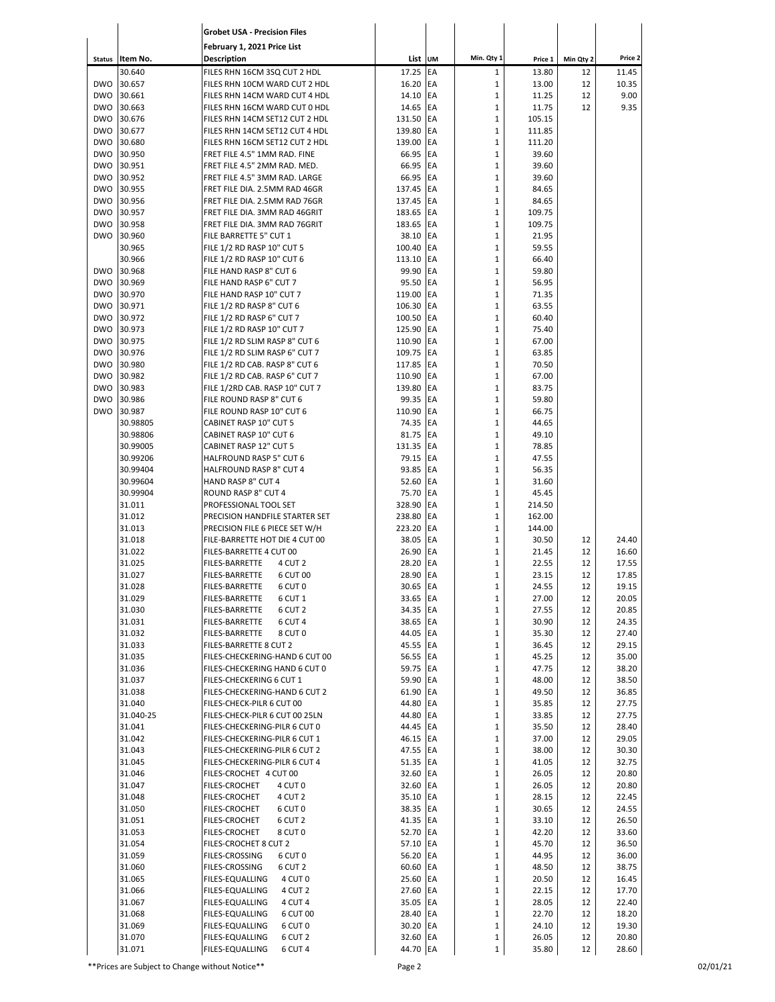|                          |                      | <b>Grobet USA - Precision Files</b>                              |                       |            |                   |                 |           |                |
|--------------------------|----------------------|------------------------------------------------------------------|-----------------------|------------|-------------------|-----------------|-----------|----------------|
|                          |                      | February 1, 2021 Price List                                      |                       |            |                   |                 |           |                |
| <b>Status</b>            | Item No.             | <b>Description</b>                                               | List UM               |            | Min. Qty 1        | Price 1         | Min Qty 2 | Price 2        |
|                          | 30.640               | FILES RHN 16CM 3SQ CUT 2 HDL                                     | 17.25                 | EA         | $\mathbf{1}$      | 13.80           | 12        | 11.45          |
| <b>DWO</b>               | 30.657               | FILES RHN 10CM WARD CUT 2 HDL                                    | 16.20 EA              |            | $\mathbf 1$       | 13.00           | 12        | 10.35          |
| <b>DWO</b>               | 30.661               | FILES RHN 14CM WARD CUT 4 HDL                                    | 14.10 EA              |            | 1                 | 11.25           | 12        | 9.00           |
| <b>DWO</b><br><b>DWO</b> | 30.663<br>30.676     | FILES RHN 16CM WARD CUT 0 HDL                                    | 14.65<br>131.50 EA    | <b>IEA</b> | $\mathbf{1}$<br>1 | 11.75<br>105.15 | 12        | 9.35           |
| <b>DWO</b>               | 30.677               | FILES RHN 14CM SET12 CUT 2 HDL<br>FILES RHN 14CM SET12 CUT 4 HDL | 139.80                | EA         | 1                 | 111.85          |           |                |
| <b>DWO</b>               | 30.680               | FILES RHN 16CM SET12 CUT 2 HDL                                   | 139.00 EA             |            | 1                 | 111.20          |           |                |
| <b>DWO</b>               | 30.950               | FRET FILE 4.5" 1MM RAD. FINE                                     | 66.95 EA              |            | $\mathbf{1}$      | 39.60           |           |                |
| <b>DWO</b>               | 30.951               | FRET FILE 4.5" 2MM RAD. MED.                                     | 66.95 EA              |            | 1                 | 39.60           |           |                |
| <b>DWO</b>               | 30.952               | FRET FILE 4.5" 3MM RAD. LARGE                                    | 66.95 EA              |            | $\mathbf{1}$      | 39.60           |           |                |
| <b>DWO</b>               | 30.955               | FRET FILE DIA. 2.5MM RAD 46GR                                    | 137.45 EA             |            | 1                 | 84.65           |           |                |
| <b>DWO</b>               | 30.956               | FRET FILE DIA. 2.5MM RAD 76GR                                    | 137.45 EA             |            | 1                 | 84.65           |           |                |
| <b>DWO</b>               | 30.957               | FRET FILE DIA. 3MM RAD 46GRIT                                    | 183.65                | <b>IEA</b> | 1                 | 109.75          |           |                |
| <b>DWO</b>               | 30.958               | FRET FILE DIA. 3MM RAD 76GRIT                                    | 183.65 EA             |            | $\mathbf{1}$      | 109.75          |           |                |
| <b>DWO</b>               | 30.960<br>30.965     | FILE BARRETTE 5" CUT 1<br>FILE 1/2 RD RASP 10" CUT 5             | 38.10 EA<br>100.40 EA |            | $\mathbf{1}$<br>1 | 21.95<br>59.55  |           |                |
|                          | 30.966               | FILE 1/2 RD RASP 10" CUT 6                                       | 113.10 EA             |            | $\mathbf{1}$      | 66.40           |           |                |
| <b>DWO</b>               | 30.968               | FILE HAND RASP 8" CUT 6                                          | 99.90 EA              |            | 1                 | 59.80           |           |                |
| <b>DWO</b>               | 30.969               | FILE HAND RASP 6" CUT 7                                          | 95.50 EA              |            | $\mathbf{1}$      | 56.95           |           |                |
| <b>DWO</b>               | 30.970               | FILE HAND RASP 10" CUT 7                                         | 119.00 EA             |            | 1                 | 71.35           |           |                |
| <b>DWO</b>               | 30.971               | FILE 1/2 RD RASP 8" CUT 6                                        | 106.30 EA             |            | $\mathbf{1}$      | 63.55           |           |                |
| <b>DWO</b>               | 30.972               | FILE 1/2 RD RASP 6" CUT 7                                        | 100.50 EA             |            | 1                 | 60.40           |           |                |
| <b>DWO</b>               | 30.973               | FILE 1/2 RD RASP 10" CUT 7                                       | 125.90 EA             |            | $\mathbf 1$       | 75.40           |           |                |
| <b>DWO</b>               | 30.975               | FILE 1/2 RD SLIM RASP 8" CUT 6                                   | 110.90 EA             |            | 1                 | 67.00           |           |                |
| <b>DWO</b><br><b>DWO</b> | 30.976<br>30.980     | FILE 1/2 RD SLIM RASP 6" CUT 7<br>FILE 1/2 RD CAB. RASP 8" CUT 6 | 109.75 EA<br>117.85   | <b>IEA</b> | 1<br>1            | 63.85<br>70.50  |           |                |
| <b>DWO</b>               | 30.982               | FILE 1/2 RD CAB. RASP 6" CUT 7                                   | 110.90 EA             |            | $\mathbf{1}$      | 67.00           |           |                |
| <b>DWO</b>               | 30.983               | FILE 1/2RD CAB. RASP 10" CUT 7                                   | 139.80                | <b>IEA</b> | $\mathbf{1}$      | 83.75           |           |                |
| <b>DWO</b>               | 30.986               | FILE ROUND RASP 8" CUT 6                                         | 99.35 EA              |            | 1                 | 59.80           |           |                |
| <b>DWO</b>               | 30.987               | FILE ROUND RASP 10" CUT 6                                        | 110.90 EA             |            | 1                 | 66.75           |           |                |
|                          | 30.98805             | CABINET RASP 10" CUT 5                                           | 74.35                 | <b>IEA</b> | 1                 | 44.65           |           |                |
|                          | 30.98806             | CABINET RASP 10" CUT 6                                           | 81.75 EA              |            | 1                 | 49.10           |           |                |
|                          | 30.99005             | <b>CABINET RASP 12" CUT 5</b>                                    | 131.35 EA             |            | 1                 | 78.85           |           |                |
|                          | 30.99206             | HALFROUND RASP 5" CUT 6                                          | 79.15 EA              |            | $\mathbf 1$       | 47.55           |           |                |
|                          | 30.99404<br>30.99604 | HALFROUND RASP 8" CUT 4<br>HAND RASP 8" CUT 4                    | 93.85 EA<br>52.60 EA  |            | 1<br>1            | 56.35<br>31.60  |           |                |
|                          | 30.99904             | ROUND RASP 8" CUT 4                                              | 75.70 EA              |            | 1                 | 45.45           |           |                |
|                          | 31.011               | PROFESSIONAL TOOL SET                                            | 328.90 EA             |            | $\mathbf{1}$      | 214.50          |           |                |
|                          | 31.012               | PRECISION HANDFILE STARTER SET                                   | 238.80                | EA         | 1                 | 162.00          |           |                |
|                          | 31.013               | PRECISION FILE 6 PIECE SET W/H                                   | 223.20 EA             |            | 1                 | 144.00          |           |                |
|                          | 31.018               | FILE-BARRETTE HOT DIE 4 CUT 00                                   | 38.05 EA              |            | $\mathbf{1}$      | 30.50           | 12        | 24.40          |
|                          | 31.022               | FILES-BARRETTE 4 CUT 00                                          | 26.90                 | EA         | 1                 | 21.45           | 12        | 16.60          |
|                          | 31.025               | <b>FILES-BARRETTE</b><br>4 CUT 2                                 | 28.20                 | EA         | 1                 | 22.55           | 12        | 17.55          |
|                          | 31.027<br>31.028     | FILES-BARRETTE<br>6 CUT 00<br>FILES-BARRETTE<br>6 CUT 0          | 28.90 EA<br>30.65 EA  |            | 1<br>1            | 23.15<br>24.55  | 12<br>12  | 17.85<br>19.15 |
|                          | 31.029               | FILES-BARRETTE<br>6 CUT 1                                        | 33.65 EA              |            | 1                 | 27.00           | 12        | 20.05          |
|                          | 31.030               | <b>FILES-BARRETTE</b><br>6 CUT 2                                 | 34.35 EA              |            | $\mathbf 1$       | 27.55           | 12        | 20.85          |
|                          | 31.031               | FILES-BARRETTE<br>6 CUT 4                                        | 38.65 EA              |            | 1                 | 30.90           | 12        | 24.35          |
|                          | 31.032               | FILES-BARRETTE<br>8 CUT 0                                        | 44.05 EA              |            | $\mathbf 1$       | 35.30           | 12        | 27.40          |
|                          | 31.033               | FILES-BARRETTE 8 CUT 2                                           | 45.55 EA              |            | 1                 | 36.45           | 12        | 29.15          |
|                          | 31.035               | FILES-CHECKERING-HAND 6 CUT 00                                   | 56.55 EA              |            | 1                 | 45.25           | 12        | 35.00          |
|                          | 31.036               | FILES-CHECKERING HAND 6 CUT 0                                    | 59.75 EA              |            | $\mathbf 1$       | 47.75           | 12        | 38.20          |
|                          | 31.037<br>31.038     | FILES-CHECKERING 6 CUT 1<br>FILES-CHECKERING-HAND 6 CUT 2        | 59.90 EA<br>61.90 EA  |            | 1<br>$\mathbf 1$  | 48.00<br>49.50  | 12<br>12  | 38.50<br>36.85 |
|                          | 31.040               | FILES-CHECK-PILR 6 CUT 00                                        | 44.80 EA              |            | 1                 | 35.85           | 12        | 27.75          |
|                          | 31.040-25            | FILES-CHECK-PILR 6 CUT 00 25LN                                   | 44.80 EA              |            | 1                 | 33.85           | 12        | 27.75          |
|                          | 31.041               | FILES-CHECKERING-PILR 6 CUT 0                                    | 44.45 EA              |            | 1                 | 35.50           | 12        | 28.40          |
|                          | 31.042               | FILES-CHECKERING-PILR 6 CUT 1                                    | 46.15 EA              |            | $\mathbf 1$       | 37.00           | 12        | 29.05          |
|                          | 31.043               | FILES-CHECKERING-PILR 6 CUT 2                                    | 47.55 EA              |            | 1                 | 38.00           | 12        | 30.30          |
|                          | 31.045               | FILES-CHECKERING-PILR 6 CUT 4                                    | 51.35 EA              |            | $\mathbf 1$       | 41.05           | 12        | 32.75          |
|                          | 31.046               | FILES-CROCHET 4 CUT 00                                           | 32.60 EA              |            | 1                 | 26.05           | 12        | 20.80          |
|                          | 31.047               | FILES-CROCHET<br>4 CUT 0                                         | 32.60 EA              |            | 1                 | 26.05           | 12        | 20.80          |
|                          | 31.048<br>31.050     | FILES-CROCHET<br>4 CUT 2<br>FILES-CROCHET<br>6 CUT 0             | 35.10 EA<br>38.35 EA  |            | 1<br>1            | 28.15<br>30.65  | 12<br>12  | 22.45<br>24.55 |
|                          | 31.051               | FILES-CROCHET<br>6 CUT 2                                         | 41.35 EA              |            | $\mathbf 1$       | 33.10           | 12        | 26.50          |
|                          | 31.053               | FILES-CROCHET<br>8 CUT 0                                         | 52.70 EA              |            | 1                 | 42.20           | 12        | 33.60          |
|                          | 31.054               | FILES-CROCHET 8 CUT 2                                            | 57.10 EA              |            | $\mathbf 1$       | 45.70           | 12        | 36.50          |
|                          | 31.059               | FILES-CROSSING<br>6 CUT 0                                        | 56.20 EA              |            | 1                 | 44.95           | 12        | 36.00          |
|                          | 31.060               | FILES-CROSSING<br>6 CUT 2                                        | 60.60 EA              |            | 1                 | 48.50           | 12        | 38.75          |
|                          | 31.065               | FILES-EQUALLING<br>4 CUT 0                                       | 25.60 EA              |            | 1                 | 20.50           | 12        | 16.45          |
|                          | 31.066               | FILES-EQUALLING<br>4 CUT 2                                       | 27.60 EA              |            | $\mathbf 1$       | 22.15           | 12        | 17.70          |
|                          | 31.067               | FILES-EQUALLING<br>4 CUT 4                                       | 35.05 EA              |            | 1                 | 28.05           | 12        | 22.40          |
|                          | 31.068<br>31.069     | FILES-EQUALLING<br>6 CUT 00<br>FILES-EQUALLING<br>6 CUT 0        | 28.40 EA<br>30.20 EA  |            | $\mathbf 1$<br>1  | 22.70<br>24.10  | 12<br>12  | 18.20<br>19.30 |
|                          | 31.070               | FILES-EQUALLING<br>6 CUT 2                                       | 32.60 EA              |            | 1                 | 26.05           | 12        | 20.80          |
|                          | 31.071               | FILES-EQUALLING<br>6 CUT 4                                       | 44.70 EA              |            | $\mathbf 1$       | 35.80           | 12        | 28.60          |

\*\*Prices are Subject to Change without Notice\*\* example 2 Page 2 Page 2 02/01/21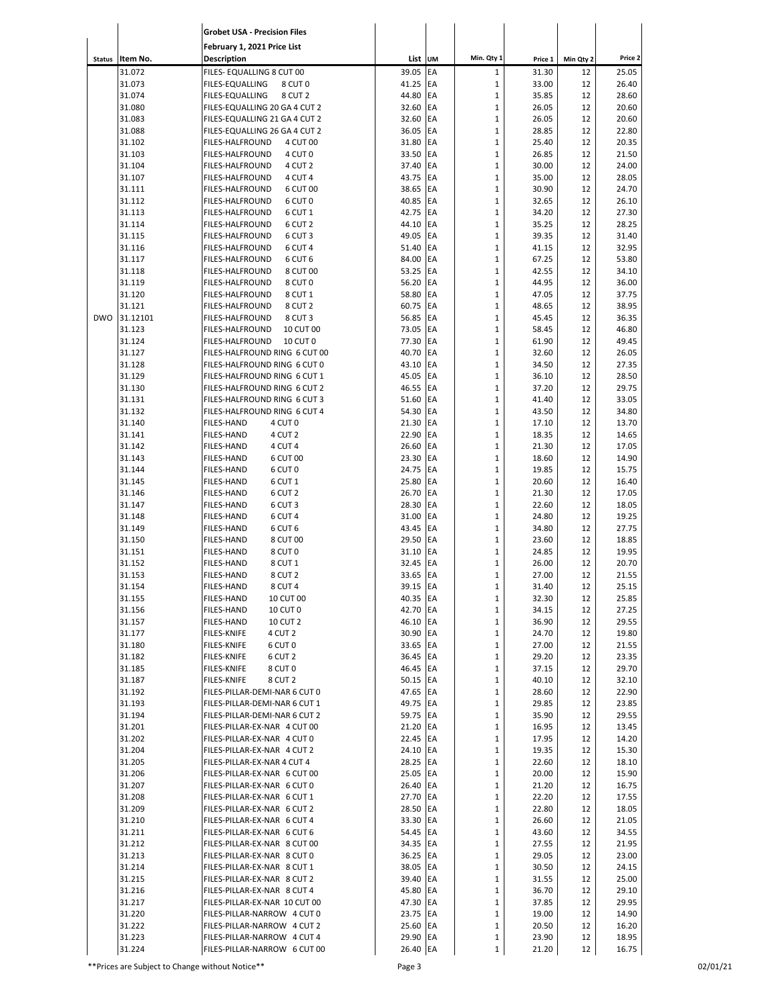|               |                    | <b>Grobet USA - Precision Files</b>                                          |                      |          |                            |                |           |                |
|---------------|--------------------|------------------------------------------------------------------------------|----------------------|----------|----------------------------|----------------|-----------|----------------|
|               |                    | February 1, 2021 Price List                                                  |                      |          |                            |                |           |                |
| <b>Status</b> | Item No.           | <b>Description</b>                                                           | List UM              |          | Min. Qty 1                 | Price 1        | Min Qty 2 | Price 2        |
|               | 31.072             | FILES- EQUALLING 8 CUT 00                                                    | 39.05                | EA       | $\mathbf{1}$               | 31.30          | 12        | 25.05          |
|               | 31.073             | <b>FILES-EQUALLING</b><br>8 CUT 0                                            | 41.25                | EA       | $\mathbf 1$                | 33.00          | 12        | 26.40          |
|               | 31.074<br>31.080   | <b>FILES-EQUALLING</b><br>8 CUT 2<br>FILES-EQUALLING 20 GA 4 CUT 2           | 44.80<br>32.60       | EA<br>EA | $\mathbf 1$<br>$\mathbf 1$ | 35.85<br>26.05 | 12<br>12  | 28.60<br>20.60 |
|               | 31.083             | FILES-EQUALLING 21 GA 4 CUT 2                                                | 32.60                | EA       | $\mathbf 1$                | 26.05          | 12        | 20.60          |
|               | 31.088             | FILES-EQUALLING 26 GA 4 CUT 2                                                | 36.05                | EA       | $\mathbf 1$                | 28.85          | 12        | 22.80          |
|               | 31.102             | FILES-HALFROUND<br>4 CUT 00                                                  | 31.80                | EA       | $\mathbf 1$                | 25.40          | 12        | 20.35          |
|               | 31.103             | 4 CUT 0<br><b>FILES-HALFROUND</b>                                            | 33.50                | EA       | $\mathbf 1$                | 26.85          | 12        | 21.50          |
|               | 31.104             | <b>FILES-HALFROUND</b><br>4 CUT <sub>2</sub>                                 | 37.40                | EA<br>EA | $\mathbf 1$<br>$\mathbf 1$ | 30.00          | 12        | 24.00          |
|               | 31.107<br>31.111   | <b>FILES-HALFROUND</b><br>4 CUT 4<br><b>FILES-HALFROUND</b><br>6 CUT 00      | 43.75<br>38.65       | EA       | $\mathbf 1$                | 35.00<br>30.90 | 12<br>12  | 28.05<br>24.70 |
|               | 31.112             | <b>FILES-HALFROUND</b><br>6 CUT 0                                            | 40.85                | EA       | $\mathbf 1$                | 32.65          | 12        | 26.10          |
|               | 31.113             | 6 CUT 1<br><b>FILES-HALFROUND</b>                                            | 42.75                | EA       | $\mathbf 1$                | 34.20          | 12        | 27.30          |
|               | 31.114             | <b>FILES-HALFROUND</b><br>6 CUT <sub>2</sub>                                 | 44.10                | EA       | $\mathbf 1$                | 35.25          | 12        | 28.25          |
|               | 31.115             | <b>FILES-HALFROUND</b><br>6 CUT <sub>3</sub>                                 | 49.05                | EA       | $\mathbf 1$                | 39.35          | 12        | 31.40          |
|               | 31.116<br>31.117   | <b>FILES-HALFROUND</b><br>6 CUT 4<br><b>FILES-HALFROUND</b><br>6 CUT 6       | 51.40<br>84.00       | EA<br>EA | $\mathbf 1$<br>$\mathbf 1$ | 41.15<br>67.25 | 12<br>12  | 32.95<br>53.80 |
|               | 31.118             | 8 CUT 00<br><b>FILES-HALFROUND</b>                                           | 53.25                | EA       | $\mathbf 1$                | 42.55          | 12        | 34.10          |
|               | 31.119             | 8 CUT 0<br>FILES-HALFROUND                                                   | 56.20                | EA       | $\mathbf 1$                | 44.95          | 12        | 36.00          |
|               | 31.120             | FILES-HALFROUND<br>8 CUT 1                                                   | 58.80                | EA       | $\mathbf 1$                | 47.05          | 12        | 37.75          |
|               | 31.121             | FILES-HALFROUND<br>8 CUT 2                                                   | 60.75                | EA       | $\mathbf 1$                | 48.65          | 12        | 38.95          |
| <b>DWO</b>    | 31.12101<br>31.123 | FILES-HALFROUND<br>8 CUT <sub>3</sub><br><b>FILES-HALFROUND</b><br>10 CUT 00 | 56.85<br>73.05       | EA<br>EA | $\mathbf 1$<br>$\mathbf 1$ | 45.45<br>58.45 | 12<br>12  | 36.35<br>46.80 |
|               | 31.124             | <b>FILES-HALFROUND</b><br>10 CUT 0                                           | 77.30                | EA       | $\mathbf 1$                | 61.90          | 12        | 49.45          |
|               | 31.127             | FILES-HALFROUND RING 6 CUT 00                                                | 40.70                | EA       | $\mathbf 1$                | 32.60          | 12        | 26.05          |
|               | 31.128             | FILES-HALFROUND RING 6 CUT 0                                                 | 43.10                | EA       | $\mathbf 1$                | 34.50          | 12        | 27.35          |
|               | 31.129             | FILES-HALFROUND RING 6 CUT 1                                                 | 45.05                | EA       | $\mathbf 1$                | 36.10          | 12        | 28.50          |
|               | 31.130<br>31.131   | FILES-HALFROUND RING 6 CUT 2<br>FILES-HALFROUND RING 6 CUT 3                 | 46.55<br>51.60       | EA<br>EA | $\mathbf 1$<br>$\mathbf 1$ | 37.20<br>41.40 | 12<br>12  | 29.75<br>33.05 |
|               | 31.132             | FILES-HALFROUND RING 6 CUT 4                                                 | 54.30                | EA       | $\mathbf 1$                | 43.50          | 12        | 34.80          |
|               | 31.140             | 4 CUT 0<br><b>FILES-HAND</b>                                                 | 21.30                | EA       | $\mathbf{1}$               | 17.10          | 12        | 13.70          |
|               | 31.141             | 4 CUT 2<br><b>FILES-HAND</b>                                                 | 22.90                | EA       | $\mathbf 1$                | 18.35          | 12        | 14.65          |
|               | 31.142             | 4 CUT 4<br><b>FILES-HAND</b>                                                 | 26.60                | EA       | $\mathbf 1$                | 21.30          | 12        | 17.05          |
|               | 31.143<br>31.144   | <b>FILES-HAND</b><br>6 CUT 00                                                | 23.30                | EA<br>EA | $\mathbf 1$<br>$\mathbf 1$ | 18.60<br>19.85 | 12        | 14.90          |
|               | 31.145             | 6 CUT 0<br><b>FILES-HAND</b><br><b>FILES-HAND</b><br>6 CUT 1                 | 24.75<br>25.80       | EA       | $\mathbf 1$                | 20.60          | 12<br>12  | 15.75<br>16.40 |
|               | 31.146             | <b>FILES-HAND</b><br>6 CUT 2                                                 | 26.70                | EA       | $\mathbf 1$                | 21.30          | 12        | 17.05          |
|               | 31.147             | <b>FILES-HAND</b><br>6 CUT 3                                                 | 28.30                | EA       | $\mathbf 1$                | 22.60          | 12        | 18.05          |
|               | 31.148             | <b>FILES-HAND</b><br>6 CUT 4                                                 | 31.00                | EA       | $\mathbf 1$                | 24.80          | 12        | 19.25          |
|               | 31.149             | <b>FILES-HAND</b><br>6 CUT 6                                                 | 43.45                | EA       | $\mathbf 1$                | 34.80          | 12        | 27.75          |
|               | 31.150<br>31.151   | <b>FILES-HAND</b><br>8 CUT 00<br><b>FILES-HAND</b><br>8 CUT 0                | 29.50<br>31.10       | EA<br>EA | $\mathbf 1$<br>$\mathbf 1$ | 23.60<br>24.85 | 12<br>12  | 18.85<br>19.95 |
|               | 31.152             | <b>FILES-HAND</b><br>8 CUT 1                                                 | 32.45                | EA       | $\mathbf{1}$               | 26.00          | 12        | 20.70          |
|               | 31.153             | FILES-HAND<br>8 CUT 2                                                        | 33.65 EA             |          | 1                          | 27.00          | 12        | 21.55          |
|               | 31.154             | 8 CUT 4<br>FILES-HAND                                                        | 39.15 EA             |          | $\mathbf 1$                | 31.40          | 12        | 25.15          |
|               | 31.155             | 10 CUT 00<br><b>FILES-HAND</b>                                               | 40.35 EA             |          | $\mathbf{1}$               | 32.30          | 12        | 25.85          |
|               | 31.156<br>31.157   | 10 CUT 0<br><b>FILES-HAND</b><br><b>FILES-HAND</b><br><b>10 CUT 2</b>        | 42.70 EA<br>46.10 EA |          | $\mathbf 1$<br>$\mathbf 1$ | 34.15<br>36.90 | 12<br>12  | 27.25<br>29.55 |
|               | 31.177             | <b>FILES-KNIFE</b><br>4 CUT 2                                                | 30.90 EA             |          | $\mathbf 1$                | 24.70          | 12        | 19.80          |
|               | 31.180             | 6 CUT 0<br><b>FILES-KNIFE</b>                                                | 33.65 EA             |          | $\mathbf 1$                | 27.00          | 12        | 21.55          |
|               | 31.182             | 6 CUT 2<br><b>FILES-KNIFE</b>                                                | 36.45 EA             |          | $\mathbf 1$                | 29.20          | 12        | 23.35          |
|               | 31.185             | 8 CUT 0<br><b>FILES-KNIFE</b>                                                | 46.45 EA             |          | $\mathbf 1$                | 37.15          | 12        | 29.70          |
|               | 31.187<br>31.192   | <b>FILES-KNIFE</b><br>8 CUT 2<br>FILES-PILLAR-DEMI-NAR 6 CUT 0               | 50.15 EA<br>47.65 EA |          | $\mathbf 1$<br>$\mathbf 1$ | 40.10<br>28.60 | 12<br>12  | 32.10<br>22.90 |
|               | 31.193             | FILES-PILLAR-DEMI-NAR 6 CUT 1                                                | 49.75 EA             |          | $\mathbf{1}$               | 29.85          | 12        | 23.85          |
|               | 31.194             | FILES-PILLAR-DEMI-NAR 6 CUT 2                                                | 59.75 EA             |          | $\mathbf 1$                | 35.90          | 12        | 29.55          |
|               | 31.201             | FILES-PILLAR-EX-NAR 4 CUT 00                                                 | 21.20 EA             |          | $\mathbf 1$                | 16.95          | 12        | 13.45          |
|               | 31.202             | FILES-PILLAR-EX-NAR 4 CUT 0                                                  | 22.45 EA             |          | $\mathbf 1$                | 17.95          | 12        | 14.20          |
|               | 31.204             | FILES-PILLAR-EX-NAR 4 CUT 2                                                  | 24.10 EA             |          | $\mathbf 1$                | 19.35          | 12        | 15.30          |
|               | 31.205<br>31.206   | FILES-PILLAR-EX-NAR 4 CUT 4<br>FILES-PILLAR-EX-NAR 6 CUT 00                  | 28.25 EA<br>25.05 EA |          | $\mathbf 1$<br>$\mathbf 1$ | 22.60<br>20.00 | 12<br>12  | 18.10<br>15.90 |
|               | 31.207             | FILES-PILLAR-EX-NAR 6 CUT 0                                                  | 26.40 EA             |          | $\mathbf 1$                | 21.20          | 12        | 16.75          |
|               | 31.208             | FILES-PILLAR-EX-NAR 6 CUT 1                                                  | 27.70 EA             |          | $\mathbf 1$                | 22.20          | 12        | 17.55          |
|               | 31.209             | FILES-PILLAR-EX-NAR 6 CUT 2                                                  | 28.50 EA             |          | $\mathbf 1$                | 22.80          | 12        | 18.05          |
|               | 31.210             | FILES-PILLAR-EX-NAR 6 CUT 4                                                  | 33.30 EA             |          | $\mathbf 1$                | 26.60          | 12        | 21.05          |
|               | 31.211<br>31.212   | FILES-PILLAR-EX-NAR 6 CUT 6<br>FILES-PILLAR-EX-NAR 8 CUT 00                  | 54.45 EA<br>34.35 EA |          | $\mathbf 1$<br>$\mathbf 1$ | 43.60<br>27.55 | 12<br>12  | 34.55<br>21.95 |
|               | 31.213             | FILES-PILLAR-EX-NAR 8 CUT 0                                                  | 36.25 EA             |          | $\mathbf{1}$               | 29.05          | 12        | 23.00          |
|               | 31.214             | FILES-PILLAR-EX-NAR 8 CUT 1                                                  | 38.05 EA             |          | $\mathbf 1$                | 30.50          | 12        | 24.15          |
|               | 31.215             | FILES-PILLAR-EX-NAR 8 CUT 2                                                  | 39.40 EA             |          | $\mathbf 1$                | 31.55          | 12        | 25.00          |
|               | 31.216             | FILES-PILLAR-EX-NAR 8 CUT 4                                                  | 45.80 EA             |          | $\mathbf 1$                | 36.70          | 12        | 29.10          |
|               | 31.217<br>31.220   | FILES-PILLAR-EX-NAR 10 CUT 00<br>FILES-PILLAR-NARROW 4 CUT 0                 | 47.30 EA<br>23.75 EA |          | $\mathbf 1$<br>$\mathbf 1$ | 37.85<br>19.00 | 12<br>12  | 29.95<br>14.90 |
|               | 31.222             | FILES-PILLAR-NARROW 4 CUT 2                                                  | 25.60 EA             |          | $\mathbf{1}$               | 20.50          | 12        | 16.20          |
|               | 31.223             | FILES-PILLAR-NARROW 4 CUT 4                                                  | 29.90 EA             |          | $\mathbf{1}$               | 23.90          | 12        | 18.95          |
|               | 31.224             | FILES-PILLAR-NARROW 6 CUT 00                                                 | 26.40 EA             |          | $\mathbf 1$                | 21.20          | 12        | 16.75          |

\*\*Prices are Subject to Change without Notice\*\* Page 3 02/01/21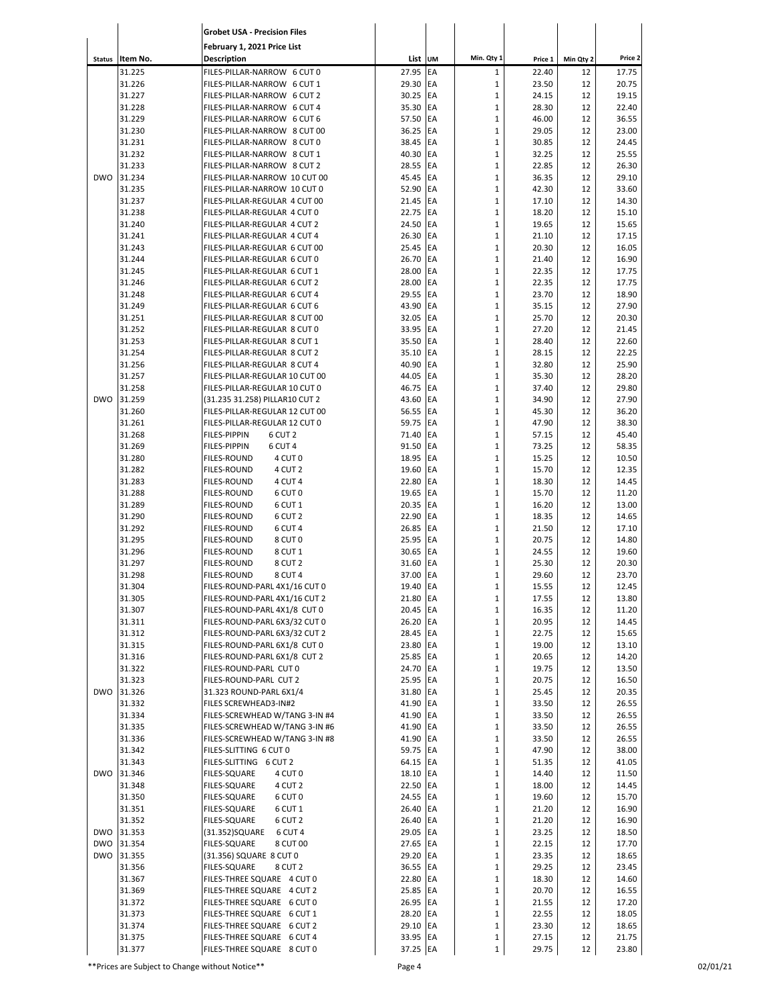|                          |                  | <b>Grobet USA - Precision Files</b>                              |                      |            |                             |                |           |                |
|--------------------------|------------------|------------------------------------------------------------------|----------------------|------------|-----------------------------|----------------|-----------|----------------|
|                          |                  | February 1, 2021 Price List                                      |                      |            |                             |                |           |                |
| <b>Status</b>            | Item No.         | <b>Description</b>                                               | List UM              |            | Min. Qty 1                  | Price 1        | Min Qty 2 | Price 2        |
|                          | 31.225           | FILES-PILLAR-NARROW 6 CUT 0                                      | 27.95                | EA         | $\mathbf 1$                 | 22.40          | 12        | 17.75          |
|                          | 31.226           | FILES-PILLAR-NARROW 6 CUT 1                                      | 29.30                | EA         | $\mathbf 1$                 | 23.50          | 12        | 20.75          |
|                          | 31.227           | FILES-PILLAR-NARROW 6 CUT 2                                      | 30.25                | <b>EA</b>  | $\mathbf 1$                 | 24.15          | 12        | 19.15          |
|                          | 31.228           | FILES-PILLAR-NARROW 6 CUT 4                                      | 35.30 EA             |            | $\mathbf 1$                 | 28.30          | 12        | 22.40          |
|                          | 31.229           | FILES-PILLAR-NARROW 6 CUT 6                                      | 57.50 EA             |            | $\mathbf 1$                 | 46.00          | 12        | 36.55          |
|                          | 31.230<br>31.231 | FILES-PILLAR-NARROW 8 CUT 00                                     | 36.25<br>38.45 EA    | <b>EA</b>  | $\mathbf{1}$<br>$\mathbf 1$ | 29.05<br>30.85 | 12        | 23.00<br>24.45 |
|                          | 31.232           | FILES-PILLAR-NARROW 8 CUT 0<br>FILES-PILLAR-NARROW 8 CUT 1       | 40.30 EA             |            | $\mathbf{1}$                | 32.25          | 12<br>12  | 25.55          |
|                          | 31.233           | FILES-PILLAR-NARROW 8 CUT 2                                      | 28.55 EA             |            | $\mathbf 1$                 | 22.85          | 12        | 26.30          |
| <b>DWO</b>               | 31.234           | FILES-PILLAR-NARROW 10 CUT 00                                    | 45.45 EA             |            | $\mathbf 1$                 | 36.35          | 12        | 29.10          |
|                          | 31.235           | FILES-PILLAR-NARROW 10 CUT 0                                     | 52.90 EA             |            | $\mathbf 1$                 | 42.30          | 12        | 33.60          |
|                          | 31.237           | FILES-PILLAR-REGULAR 4 CUT 00                                    | 21.45 EA             |            | $\mathbf 1$                 | 17.10          | 12        | 14.30          |
|                          | 31.238           | FILES-PILLAR-REGULAR 4 CUT 0                                     | 22.75                | <b>IEA</b> | $\mathbf 1$                 | 18.20          | 12        | 15.10          |
|                          | 31.240           | FILES-PILLAR-REGULAR 4 CUT 2                                     | 24.50                | EA         | $\mathbf 1$                 | 19.65          | 12        | 15.65          |
|                          | 31.241           | FILES-PILLAR-REGULAR 4 CUT 4                                     | 26.30 EA             |            | $\mathbf 1$                 | 21.10          | 12        | 17.15          |
|                          | 31.243<br>31.244 | FILES-PILLAR-REGULAR 6 CUT 00<br>FILES-PILLAR-REGULAR 6 CUT 0    | 25.45 EA<br>26.70 EA |            | $\mathbf 1$<br>$\mathbf 1$  | 20.30<br>21.40 | 12<br>12  | 16.05<br>16.90 |
|                          | 31.245           | FILES-PILLAR-REGULAR 6 CUT 1                                     | 28.00 EA             |            | $\mathbf 1$                 | 22.35          | 12        | 17.75          |
|                          | 31.246           | FILES-PILLAR-REGULAR 6 CUT 2                                     | 28.00                | EA         | $\mathbf{1}$                | 22.35          | 12        | 17.75          |
|                          | 31.248           | FILES-PILLAR-REGULAR 6 CUT 4                                     | 29.55 EA             |            | $\mathbf 1$                 | 23.70          | 12        | 18.90          |
|                          | 31.249           | FILES-PILLAR-REGULAR 6 CUT 6                                     | 43.90 EA             |            | $\mathbf 1$                 | 35.15          | 12        | 27.90          |
|                          | 31.251           | FILES-PILLAR-REGULAR 8 CUT 00                                    | 32.05 EA             |            | 1                           | 25.70          | 12        | 20.30          |
|                          | 31.252           | FILES-PILLAR-REGULAR 8 CUT 0                                     | 33.95 EA             |            | $\mathbf 1$                 | 27.20          | 12        | 21.45          |
|                          | 31.253           | FILES-PILLAR-REGULAR 8 CUT 1                                     | 35.50                | EA         | $\mathbf 1$                 | 28.40          | 12        | 22.60          |
|                          | 31.254           | FILES-PILLAR-REGULAR 8 CUT 2                                     | 35.10 EA             |            | $\mathbf 1$                 | 28.15          | 12        | 22.25          |
|                          | 31.256           | FILES-PILLAR-REGULAR 8 CUT 4                                     | 40.90 EA<br>44.05 EA |            | $\mathbf 1$<br>$\mathbf 1$  | 32.80<br>35.30 | 12        | 25.90          |
|                          | 31.257<br>31.258 | FILES-PILLAR-REGULAR 10 CUT 00<br>FILES-PILLAR-REGULAR 10 CUT 0  | 46.75 EA             |            | $\mathbf 1$                 | 37.40          | 12<br>12  | 28.20<br>29.80 |
| <b>DWO</b>               | 31.259           | (31.235 31.258) PILLAR10 CUT 2                                   | 43.60 EA             |            | $\mathbf 1$                 | 34.90          | 12        | 27.90          |
|                          | 31.260           | FILES-PILLAR-REGULAR 12 CUT 00                                   | 56.55                | <b>IEA</b> | $\mathbf{1}$                | 45.30          | 12        | 36.20          |
|                          | 31.261           | FILES-PILLAR-REGULAR 12 CUT 0                                    | 59.75 EA             |            | $\mathbf 1$                 | 47.90          | 12        | 38.30          |
|                          | 31.268           | <b>FILES-PIPPIN</b><br>6 CUT <sub>2</sub>                        | 71.40                | EA         | $\mathbf{1}$                | 57.15          | 12        | 45.40          |
|                          | 31.269           | 6 CUT 4<br>FILES-PIPPIN                                          | 91.50                | EA         | $\mathbf 1$                 | 73.25          | 12        | 58.35          |
|                          | 31.280           | FILES-ROUND<br>4 CUT 0                                           | 18.95                | EA         | $\mathbf 1$                 | 15.25          | 12        | 10.50          |
|                          | 31.282           | <b>FILES-ROUND</b><br>4 CUT 2                                    | 19.60                | EA         | $\mathbf 1$                 | 15.70          | 12        | 12.35          |
|                          | 31.283<br>31.288 | <b>FILES-ROUND</b><br>4 CUT 4<br>6 CUT 0<br>FILES-ROUND          | 22.80<br>19.65 EA    | EA         | $\mathbf 1$<br>$\mathbf 1$  | 18.30<br>15.70 | 12<br>12  | 14.45<br>11.20 |
|                          | 31.289           | <b>FILES-ROUND</b><br>6 CUT 1                                    | 20.35 EA             |            | $\mathbf{1}$                | 16.20          | 12        | 13.00          |
|                          | 31.290           | 6 CUT 2<br>FILES-ROUND                                           | 22.90 EA             |            | $\mathbf 1$                 | 18.35          | 12        | 14.65          |
|                          | 31.292           | FILES-ROUND<br>6 CUT 4                                           | 26.85 EA             |            | $\mathbf 1$                 | 21.50          | 12        | 17.10          |
|                          | 31.295           | FILES-ROUND<br>8 CUT 0                                           | 25.95 EA             |            | $\mathbf 1$                 | 20.75          | 12        | 14.80          |
|                          | 31.296           | 8 CUT 1<br>FILES-ROUND                                           | 30.65 EA             |            | $\mathbf 1$                 | 24.55          | 12        | 19.60          |
|                          | 31.297           | 8 CUT 2<br>FILES-ROUND                                           | 31.60 EA             |            | $\mathbf 1$                 | 25.30          | 12        | 20.30          |
|                          | 31.298           | FILES-ROUND<br>8 CUT 4                                           | 37.00 EA             |            | 1                           | 29.60          | 12        | 23.70          |
|                          | 31.304           | FILES-ROUND-PARL 4X1/16 CUT 0                                    | 19.40 EA             |            | $\mathbf 1$                 | 15.55          | 12        | 12.45          |
|                          | 31.305<br>31.307 | FILES-ROUND-PARL 4X1/16 CUT 2<br>FILES-ROUND-PARL 4X1/8 CUT 0    | 21.80 EA<br>20.45 EA |            | $\mathbf{1}$<br>$\mathbf 1$ | 17.55<br>16.35 | 12<br>12  | 13.80<br>11.20 |
|                          | 31.311           | FILES-ROUND-PARL 6X3/32 CUT 0                                    | 26.20 EA             |            | $\mathbf 1$                 | 20.95          | 12        | 14.45          |
|                          | 31.312           | FILES-ROUND-PARL 6X3/32 CUT 2                                    | 28.45 EA             |            | $\mathbf 1$                 | 22.75          | 12        | 15.65          |
|                          | 31.315           | FILES-ROUND-PARL 6X1/8 CUT 0                                     | 23.80 EA             |            | $\mathbf 1$                 | 19.00          | 12        | 13.10          |
|                          | 31.316           | FILES-ROUND-PARL 6X1/8 CUT 2                                     | 25.85 EA             |            | $\mathbf 1$                 | 20.65          | 12        | 14.20          |
|                          | 31.322           | FILES-ROUND-PARL CUT 0                                           | 24.70 EA             |            | $\mathbf 1$                 | 19.75          | 12        | 13.50          |
|                          | 31.323           | FILES-ROUND-PARL CUT 2                                           | 25.95 EA             |            | $\mathbf 1$                 | 20.75          | 12        | 16.50          |
| <b>DWO</b>               | 31.326           | 31.323 ROUND-PARL 6X1/4                                          | 31.80 EA             |            | $\mathbf 1$                 | 25.45          | 12        | 20.35          |
|                          | 31.332           | FILES SCREWHEAD3-IN#2                                            | 41.90 EA             |            | $\mathbf 1$                 | 33.50          | 12        | 26.55          |
|                          | 31.334<br>31.335 | FILES-SCREWHEAD W/TANG 3-IN #4<br>FILES-SCREWHEAD W/TANG 3-IN #6 | 41.90 EA<br>41.90 EA |            | $\mathbf 1$<br>$\mathbf 1$  | 33.50<br>33.50 | 12<br>12  | 26.55<br>26.55 |
|                          | 31.336           | FILES-SCREWHEAD W/TANG 3-IN #8                                   | 41.90 EA             |            | $\mathbf 1$                 | 33.50          | 12        | 26.55          |
|                          | 31.342           | FILES-SLITTING 6 CUT 0                                           | 59.75 EA             |            | $\mathbf 1$                 | 47.90          | 12        | 38.00          |
|                          | 31.343           | FILES-SLITTING 6 CUT 2                                           | 64.15 EA             |            | $\mathbf 1$                 | 51.35          | 12        | 41.05          |
| <b>DWO</b>               | 31.346           | FILES-SQUARE<br>4 CUT 0                                          | 18.10 EA             |            | $\mathbf 1$                 | 14.40          | 12        | 11.50          |
|                          | 31.348           | FILES-SQUARE<br>4 CUT 2                                          | 22.50 EA             |            | $\mathbf 1$                 | 18.00          | 12        | 14.45          |
|                          | 31.350           | FILES-SQUARE<br>6 CUT 0                                          | 24.55 EA             |            | $\mathbf 1$                 | 19.60          | 12        | 15.70          |
|                          | 31.351           | FILES-SQUARE<br>6 CUT 1                                          | 26.40 EA             |            | $\mathbf 1$                 | 21.20          | 12        | 16.90          |
|                          | 31.352           | FILES-SQUARE<br>6 CUT 2                                          | 26.40 EA             |            | $\mathbf 1$                 | 21.20          | 12        | 16.90          |
|                          | DWO 31.353       | (31.352)SQUARE<br>6 CUT 4                                        | 29.05 EA             |            | $\mathbf 1$                 | 23.25          | 12        | 18.50          |
| <b>DWO</b><br><b>DWO</b> | 31.354<br>31.355 | FILES-SQUARE<br>8 CUT 00                                         | 27.65 EA<br>29.20 EA |            | $\mathbf 1$<br>$\mathbf 1$  | 22.15<br>23.35 | 12        | 17.70<br>18.65 |
|                          | 31.356           | (31.356) SQUARE 8 CUT 0<br>FILES-SQUARE<br>8 CUT 2               | 36.55 EA             |            | $\mathbf 1$                 | 29.25          | 12<br>12  | 23.45          |
|                          | 31.367           | FILES-THREE SQUARE 4 CUT 0                                       | 22.80 EA             |            | $\mathbf 1$                 | 18.30          | 12        | 14.60          |
|                          | 31.369           | FILES-THREE SQUARE 4 CUT 2                                       | 25.85 EA             |            | $\mathbf 1$                 | 20.70          | 12        | 16.55          |
|                          | 31.372           | FILES-THREE SQUARE 6 CUT 0                                       | 26.95 EA             |            | $\mathbf 1$                 | 21.55          | 12        | 17.20          |
|                          | 31.373           | FILES-THREE SQUARE 6 CUT 1                                       | 28.20 EA             |            | $\mathbf 1$                 | 22.55          | 12        | 18.05          |
|                          | 31.374           | FILES-THREE SQUARE 6 CUT 2                                       | 29.10 EA             |            | $\mathbf 1$                 | 23.30          | 12        | 18.65          |
|                          | 31.375           | FILES-THREE SQUARE 6 CUT 4                                       | 33.95 EA             |            | $\mathbf 1$                 | 27.15          | 12        | 21.75          |
|                          | 31.377           | FILES-THREE SQUARE 8 CUT 0                                       | 37.25 EA             |            | $\mathbf 1$                 | 29.75          | 12        | 23.80          |

\*\*Prices are Subject to Change without Notice\*\* example and the Page 4 page 4 of the Subject to Change without Notice\*\* and the Page 4 of the Page 4 of the Page 4 of the Page 4 of the Page 4 of the Page 4 of the Page 4 of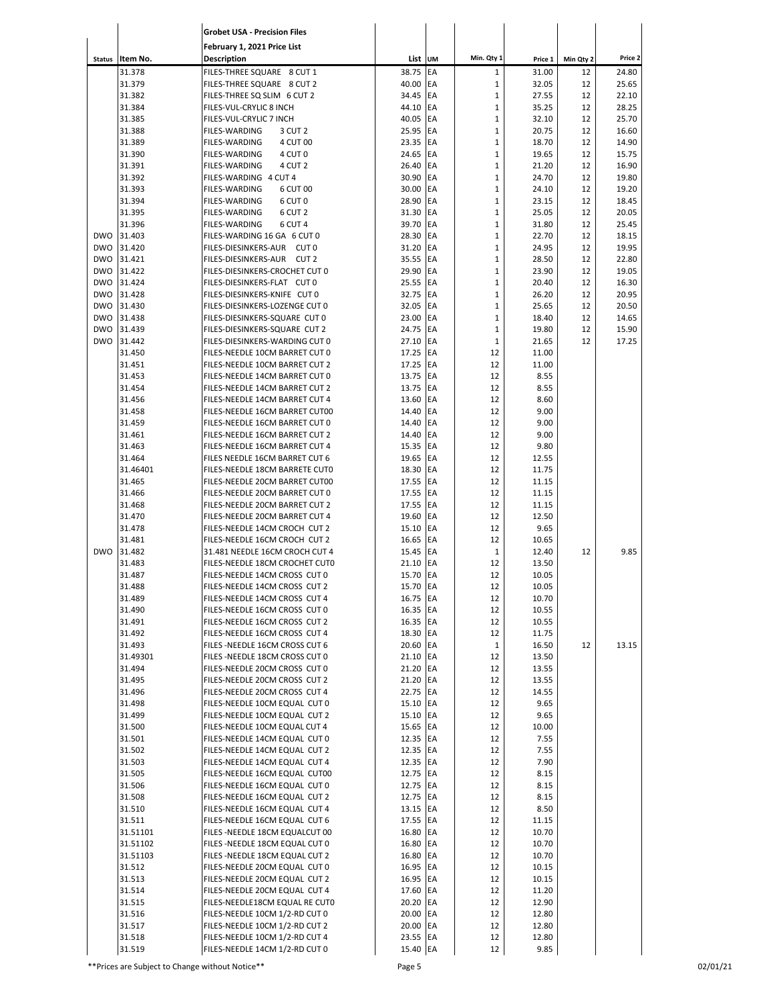|                          |                      | <b>Grobet USA - Precision Files</b>                                           |                      |           |                             |                |           |                |
|--------------------------|----------------------|-------------------------------------------------------------------------------|----------------------|-----------|-----------------------------|----------------|-----------|----------------|
|                          |                      | February 1, 2021 Price List                                                   |                      |           |                             |                |           |                |
| <b>Status</b>            | Item No.             | Description                                                                   | List UM              |           | Min. Qty 1                  | Price 1        | Min Qty 2 | Price 2        |
|                          | 31.378               | FILES-THREE SQUARE 8 CUT 1                                                    | 38.75                | EA        | $\mathbf 1$                 | 31.00          | 12        | 24.80          |
|                          | 31.379<br>31.382     | FILES-THREE SQUARE 8 CUT 2<br>FILES-THREE SQ SLIM 6 CUT 2                     | 40.00<br>34.45       | EA<br>EA  | $\mathbf 1$<br>$\mathbf{1}$ | 32.05<br>27.55 | 12<br>12  | 25.65<br>22.10 |
|                          | 31.384               | FILES-VUL-CRYLIC 8 INCH                                                       | 44.10 EA             |           | $\mathbf{1}$                | 35.25          | 12        | 28.25          |
|                          | 31.385               | FILES-VUL-CRYLIC 7 INCH                                                       | 40.05 EA             |           | $\mathbf 1$                 | 32.10          | 12        | 25.70          |
|                          | 31.388               | <b>FILES-WARDING</b><br>3 CUT 2                                               | 25.95 EA             |           | $\mathbf 1$                 | 20.75          | 12        | 16.60          |
|                          | 31.389               | <b>FILES-WARDING</b><br>4 CUT 00                                              | 23.35                | EA        | $\mathbf 1$                 | 18.70          | 12        | 14.90          |
|                          | 31.390               | <b>FILES-WARDING</b><br>4 CUT 0                                               | 24.65 EA             |           | $\mathbf{1}$                | 19.65          | 12        | 15.75          |
|                          | 31.391               | 4 CUT <sub>2</sub><br><b>FILES-WARDING</b>                                    | 26.40                | EA        | $\mathbf 1$                 | 21.20          | 12        | 16.90          |
|                          | 31.392               | FILES-WARDING 4 CUT 4                                                         | 30.90                | EA        | $\mathbf 1$                 | 24.70          | 12        | 19.80          |
|                          | 31.393               | <b>FILES-WARDING</b><br>6 CUT 00                                              | 30.00                | EA        | $\mathbf 1$                 | 24.10          | 12        | 19.20          |
|                          | 31.394<br>31.395     | <b>FILES-WARDING</b><br>6 CUT 0<br><b>FILES-WARDING</b><br>6 CUT <sub>2</sub> | 28.90<br>31.30       | EA<br>EA  | $\mathbf 1$<br>$\mathbf 1$  | 23.15<br>25.05 | 12<br>12  | 18.45<br>20.05 |
|                          | 31.396               | 6 CUT 4<br><b>FILES-WARDING</b>                                               | 39.70                | EA        | $\mathbf 1$                 | 31.80          | 12        | 25.45          |
| <b>DWO</b>               | 31.403               | FILES-WARDING 16 GA 6 CUT 0                                                   | 28.30                | EA        | $\mathbf 1$                 | 22.70          | 12        | 18.15          |
| <b>DWO</b>               | 31.420               | FILES-DIESINKERS-AUR CUT 0                                                    | 31.20                | EA        | $\mathbf 1$                 | 24.95          | 12        | 19.95          |
| <b>DWO</b>               | 31.421               | FILES-DIESINKERS-AUR CUT 2                                                    | 35.55 EA             |           | $\mathbf 1$                 | 28.50          | 12        | 22.80          |
| <b>DWO</b>               | 31.422               | FILES-DIESINKERS-CROCHET CUT 0                                                | 29.90                | EA        | $\mathbf 1$                 | 23.90          | 12        | 19.05          |
| <b>DWO</b>               | 31.424               | FILES-DIESINKERS-FLAT CUT 0                                                   | 25.55 EA             |           | $\mathbf 1$                 | 20.40          | 12        | 16.30          |
| <b>DWO</b>               | 31.428               | FILES-DIESINKERS-KNIFE CUT 0                                                  | 32.75                | EA        | $\mathbf 1$                 | 26.20          | 12        | 20.95          |
| <b>DWO</b>               | 31.430               | FILES-DIESINKERS-LOZENGE CUT 0                                                | 32.05                | EA        | $\mathbf 1$                 | 25.65          | 12        | 20.50          |
| <b>DWO</b>               | 31.438               | FILES-DIESINKERS-SQUARE CUT 0                                                 | 23.00                | EA        | $\mathbf 1$                 | 18.40          | 12        | 14.65          |
| <b>DWO</b><br><b>DWO</b> | 31.439<br>31.442     | FILES-DIESINKERS-SQUARE CUT 2<br>FILES-DIESINKERS-WARDING CUT 0               | 24.75<br>27.10       | EA<br>EA  | $\mathbf 1$<br>$\mathbf{1}$ | 19.80<br>21.65 | 12<br>12  | 15.90<br>17.25 |
|                          | 31.450               | FILES-NEEDLE 10CM BARRET CUT 0                                                | 17.25                | EA        | 12                          | 11.00          |           |                |
|                          | 31.451               | FILES-NEEDLE 10CM BARRET CUT 2                                                | 17.25                | EA        | 12                          | 11.00          |           |                |
|                          | 31.453               | FILES-NEEDLE 14CM BARRET CUT 0                                                | 13.75                | EA        | 12                          | 8.55           |           |                |
|                          | 31.454               | FILES-NEEDLE 14CM BARRET CUT 2                                                | 13.75                | EA        | 12                          | 8.55           |           |                |
|                          | 31.456               | FILES-NEEDLE 14CM BARRET CUT 4                                                | 13.60                | EA        | 12                          | 8.60           |           |                |
|                          | 31.458               | FILES-NEEDLE 16CM BARRET CUT00                                                | 14.40                | EA        | 12                          | 9.00           |           |                |
|                          | 31.459               | FILES-NEEDLE 16CM BARRET CUT 0                                                | 14.40                | <b>EA</b> | 12                          | 9.00           |           |                |
|                          | 31.461               | FILES-NEEDLE 16CM BARRET CUT 2                                                | 14.40                | EA        | 12                          | 9.00           |           |                |
|                          | 31.463               | FILES-NEEDLE 16CM BARRET CUT 4                                                | 15.35                | EA<br>EA  | 12<br>12                    | 9.80           |           |                |
|                          | 31.464<br>31.46401   | FILES NEEDLE 16CM BARRET CUT 6<br>FILES-NEEDLE 18CM BARRETE CUTO              | 19.65<br>18.30       | EA        | 12                          | 12.55<br>11.75 |           |                |
|                          | 31.465               | FILES-NEEDLE 20CM BARRET CUT00                                                | 17.55                | EA        | 12                          | 11.15          |           |                |
|                          | 31.466               | FILES-NEEDLE 20CM BARRET CUT 0                                                | 17.55                | EA        | 12                          | 11.15          |           |                |
|                          | 31.468               | FILES-NEEDLE 20CM BARRET CUT 2                                                | 17.55                | EA        | 12                          | 11.15          |           |                |
|                          | 31.470               | FILES-NEEDLE 20CM BARRET CUT 4                                                | 19.60                | EA        | 12                          | 12.50          |           |                |
|                          | 31.478               | FILES-NEEDLE 14CM CROCH CUT 2                                                 | 15.10                | EA        | 12                          | 9.65           |           |                |
|                          | 31.481               | FILES-NEEDLE 16CM CROCH CUT 2                                                 | 16.65                | EA        | 12                          | 10.65          |           |                |
| <b>DWO</b>               | 31.482               | 31.481 NEEDLE 16CM CROCH CUT 4                                                | 15.45 EA             |           | $\mathbf{1}$                | 12.40          | 12        | 9.85           |
|                          | 31.483               | FILES-NEEDLE 18CM CROCHET CUTO                                                | 21.10 EA             |           | 12                          | 13.50          |           |                |
|                          | 31.487<br>31.488     | FILES-NEEDLE 14CM CROSS CUT 0<br>FILES-NEEDLE 14CM CROSS CUT 2                | 15.70 EA<br>15.70 EA |           | 12<br>12                    | 10.05          |           |                |
|                          | 31.489               | FILES-NEEDLE 14CM CROSS CUT 4                                                 | 16.75 EA             |           | 12                          | 10.05<br>10.70 |           |                |
|                          | 31.490               | FILES-NEEDLE 16CM CROSS CUT 0                                                 | 16.35 EA             |           | 12                          | 10.55          |           |                |
|                          | 31.491               | FILES-NEEDLE 16CM CROSS CUT 2                                                 | 16.35 EA             |           | 12                          | 10.55          |           |                |
|                          | 31.492               | FILES-NEEDLE 16CM CROSS CUT 4                                                 | 18.30 EA             |           | 12                          | 11.75          |           |                |
|                          | 31.493               | FILES-NEEDLE 16CM CROSS CUT 6                                                 | 20.60 EA             |           | $\mathbf 1$                 | 16.50          | 12        | 13.15          |
|                          | 31.49301             | FILES - NEEDLE 18CM CROSS CUT 0                                               | 21.10 EA             |           | 12                          | 13.50          |           |                |
|                          | 31.494               | FILES-NEEDLE 20CM CROSS CUT 0                                                 | 21.20 EA             |           | 12                          | 13.55          |           |                |
|                          | 31.495               | FILES-NEEDLE 20CM CROSS CUT 2                                                 | 21.20 EA             |           | 12                          | 13.55          |           |                |
|                          | 31.496               | FILES-NEEDLE 20CM CROSS CUT 4                                                 | 22.75 EA             |           | 12                          | 14.55          |           |                |
|                          | 31.498<br>31.499     | FILES-NEEDLE 10CM EQUAL CUT 0<br>FILES-NEEDLE 10CM EQUAL CUT 2                | 15.10 EA<br>15.10 EA |           | 12<br>12                    | 9.65<br>9.65   |           |                |
|                          | 31.500               | FILES-NEEDLE 10CM EQUAL CUT 4                                                 | 15.65 EA             |           | 12                          | 10.00          |           |                |
|                          | 31.501               | FILES-NEEDLE 14CM EQUAL CUT 0                                                 | 12.35 EA             |           | 12                          | 7.55           |           |                |
|                          | 31.502               | FILES-NEEDLE 14CM EQUAL CUT 2                                                 | 12.35 EA             |           | 12                          | 7.55           |           |                |
|                          | 31.503               | FILES-NEEDLE 14CM EQUAL CUT 4                                                 | 12.35 EA             |           | 12                          | 7.90           |           |                |
|                          | 31.505               | FILES-NEEDLE 16CM EQUAL CUT00                                                 | 12.75 EA             |           | 12                          | 8.15           |           |                |
|                          | 31.506               | FILES-NEEDLE 16CM EQUAL CUT 0                                                 | 12.75 EA             |           | 12                          | 8.15           |           |                |
|                          | 31.508               | FILES-NEEDLE 16CM EQUAL CUT 2                                                 | 12.75 EA             |           | 12                          | 8.15           |           |                |
|                          | 31.510               | FILES-NEEDLE 16CM EQUAL CUT 4                                                 | 13.15 EA             |           | 12                          | 8.50           |           |                |
|                          | 31.511               | FILES-NEEDLE 16CM EQUAL CUT 6                                                 | 17.55 EA             |           | 12                          | 11.15          |           |                |
|                          | 31.51101             | FILES - NEEDLE 18CM EQUALCUT 00                                               | 16.80 EA             |           | 12                          | 10.70          |           |                |
|                          | 31.51102<br>31.51103 | FILES - NEEDLE 18CM EQUAL CUT 0<br>FILES - NEEDLE 18CM EQUAL CUT 2            | 16.80 EA<br>16.80 EA |           | 12<br>12                    | 10.70<br>10.70 |           |                |
|                          | 31.512               | FILES-NEEDLE 20CM EQUAL CUT 0                                                 | 16.95 EA             |           | 12                          | 10.15          |           |                |
|                          | 31.513               | FILES-NEEDLE 20CM EQUAL CUT 2                                                 | 16.95 EA             |           | 12                          | 10.15          |           |                |
|                          | 31.514               | FILES-NEEDLE 20CM EQUAL CUT 4                                                 | 17.60 EA             |           | 12                          | 11.20          |           |                |
|                          | 31.515               | FILES-NEEDLE18CM EQUAL RE CUTO                                                | 20.20 EA             |           | 12                          | 12.90          |           |                |
|                          | 31.516               | FILES-NEEDLE 10CM 1/2-RD CUT 0                                                | 20.00 EA             |           | 12                          | 12.80          |           |                |
|                          | 31.517               | FILES-NEEDLE 10CM 1/2-RD CUT 2                                                | 20.00 EA             |           | 12                          | 12.80          |           |                |
|                          | 31.518               | FILES-NEEDLE 10CM 1/2-RD CUT 4                                                | 23.55 EA             |           | 12                          | 12.80          |           |                |
|                          | 31.519               | FILES-NEEDLE 14CM 1/2-RD CUT 0                                                | 15.40 EA             |           | 12                          | 9.85           |           |                |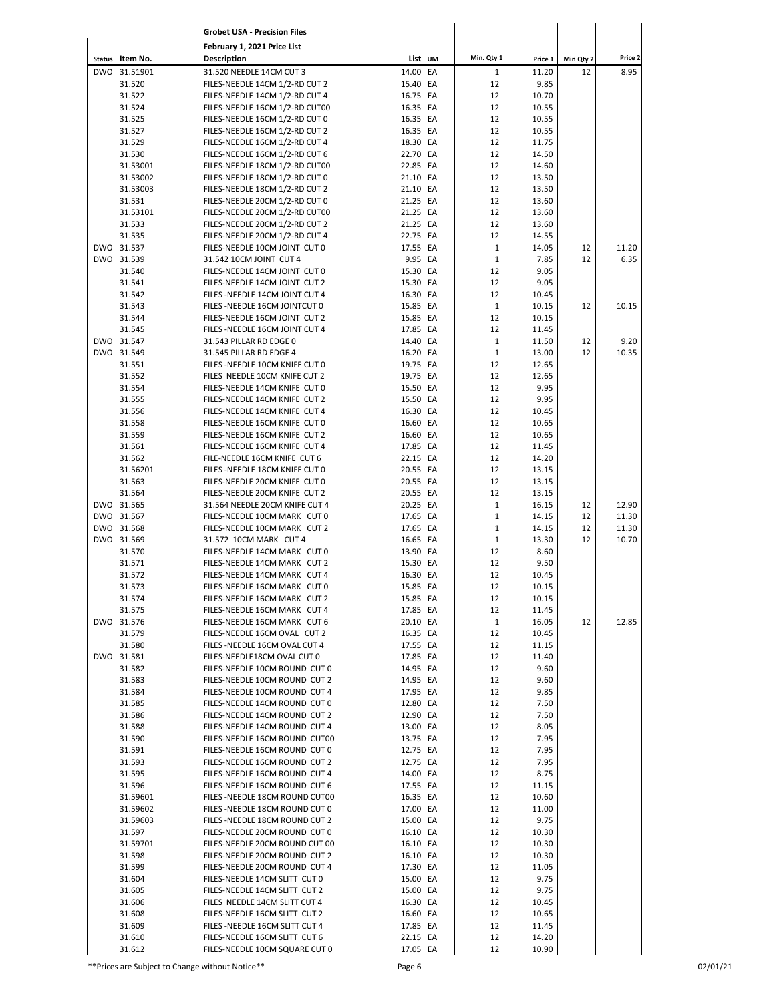|               |                    | <b>Grobet USA - Precision Files</b>                              |                      |          |              |                |           |         |
|---------------|--------------------|------------------------------------------------------------------|----------------------|----------|--------------|----------------|-----------|---------|
| <b>Status</b> | Item No.           | February 1, 2021 Price List<br>Description                       | List UM              |          | Min. Qty 1   | Price 1        | Min Qty 2 | Price 2 |
| <b>DWO</b>    | 31.51901           | 31.520 NEEDLE 14CM CUT 3                                         | 14.00                | EA       | $\mathbf{1}$ | 11.20          | 12        | 8.95    |
|               | 31.520             | FILES-NEEDLE 14CM 1/2-RD CUT 2                                   | 15.40                | EA       | 12           | 9.85           |           |         |
|               | 31.522             | FILES-NEEDLE 14CM 1/2-RD CUT 4                                   | 16.75                | EA       | 12           | 10.70          |           |         |
|               | 31.524             | FILES-NEEDLE 16CM 1/2-RD CUT00                                   | 16.35                | EA       | 12           | 10.55          |           |         |
|               | 31.525             | FILES-NEEDLE 16CM 1/2-RD CUT 0                                   | 16.35                | EA       | 12           | 10.55          |           |         |
|               | 31.527             | FILES-NEEDLE 16CM 1/2-RD CUT 2                                   | 16.35                | EA       | 12           | 10.55          |           |         |
|               | 31.529             | FILES-NEEDLE 16CM 1/2-RD CUT 4                                   | 18.30                | EA       | 12           | 11.75          |           |         |
|               | 31.530             | FILES-NEEDLE 16CM 1/2-RD CUT 6                                   | 22.70                | EA       | 12           | 14.50          |           |         |
|               | 31.53001           | FILES-NEEDLE 18CM 1/2-RD CUT00                                   | 22.85                | EA       | 12           | 14.60          |           |         |
|               | 31.53002           | FILES-NEEDLE 18CM 1/2-RD CUT 0                                   | 21.10                | EA       | 12           | 13.50          |           |         |
|               | 31.53003           | FILES-NEEDLE 18CM 1/2-RD CUT 2                                   | 21.10                | EA       | 12           | 13.50          |           |         |
|               | 31.531             | FILES-NEEDLE 20CM 1/2-RD CUT 0                                   | 21.25                | EA       | 12           | 13.60          |           |         |
|               | 31.53101<br>31.533 | FILES-NEEDLE 20CM 1/2-RD CUT00                                   | 21.25<br>21.25       | EA<br>EA | 12<br>12     | 13.60<br>13.60 |           |         |
|               | 31.535             | FILES-NEEDLE 20CM 1/2-RD CUT 2<br>FILES-NEEDLE 20CM 1/2-RD CUT 4 | 22.75                | EA       | 12           | 14.55          |           |         |
| <b>DWO</b>    | 31.537             | FILES-NEEDLE 10CM JOINT CUT 0                                    | 17.55                | EA       | $\mathbf 1$  | 14.05          | 12        | 11.20   |
| <b>DWO</b>    | 31.539             | 31.542 10CM JOINT CUT 4                                          | 9.95                 | EA       | $\mathbf 1$  | 7.85           | 12        | 6.35    |
|               | 31.540             | FILES-NEEDLE 14CM JOINT CUT 0                                    | 15.30                | EA       | 12           | 9.05           |           |         |
|               | 31.541             | FILES-NEEDLE 14CM JOINT CUT 2                                    | 15.30                | EA       | 12           | 9.05           |           |         |
|               | 31.542             | FILES - NEEDLE 14CM JOINT CUT 4                                  | 16.30                | EA       | 12           | 10.45          |           |         |
|               | 31.543             | FILES - NEEDLE 16CM JOINTCUT 0                                   | 15.85                | EA       | $\mathbf{1}$ | 10.15          | 12        | 10.15   |
|               | 31.544             | FILES-NEEDLE 16CM JOINT CUT 2                                    | 15.85                | EA       | 12           | 10.15          |           |         |
|               | 31.545             | FILES - NEEDLE 16CM JOINT CUT 4                                  | 17.85                | EA       | 12           | 11.45          |           |         |
| <b>DWO</b>    | 31.547             | 31.543 PILLAR RD EDGE 0                                          | 14.40                | EA       | $\mathbf 1$  | 11.50          | 12        | 9.20    |
| <b>DWO</b>    | 31.549             | 31.545 PILLAR RD EDGE 4                                          | 16.20                | EA       | $\mathbf 1$  | 13.00          | 12        | 10.35   |
|               | 31.551             | FILES - NEEDLE 10CM KNIFE CUT 0                                  | 19.75                | EA       | 12           | 12.65          |           |         |
|               | 31.552             | FILES NEEDLE 10CM KNIFE CUT 2                                    | 19.75                | EA       | 12           | 12.65          |           |         |
|               | 31.554             | FILES-NEEDLE 14CM KNIFE CUT 0                                    | 15.50                | EA       | 12           | 9.95           |           |         |
|               | 31.555             | FILES-NEEDLE 14CM KNIFE CUT 2                                    | 15.50                | EA       | 12           | 9.95           |           |         |
|               | 31.556             | FILES-NEEDLE 14CM KNIFE CUT 4                                    | 16.30                | EA       | 12           | 10.45          |           |         |
|               | 31.558             | FILES-NEEDLE 16CM KNIFE CUT 0                                    | 16.60                | EA       | 12           | 10.65          |           |         |
|               | 31.559             | FILES-NEEDLE 16CM KNIFE CUT 2                                    | 16.60                | EA       | 12           | 10.65          |           |         |
|               | 31.561             | FILES-NEEDLE 16CM KNIFE CUT 4                                    | 17.85                | EA       | 12           | 11.45          |           |         |
|               | 31.562             | FILE-NEEDLE 16CM KNIFE CUT 6                                     | 22.15                | EA<br>EA | 12<br>12     | 14.20          |           |         |
|               | 31.56201<br>31.563 | FILES - NEEDLE 18CM KNIFE CUT 0<br>FILES-NEEDLE 20CM KNIFE CUT 0 | 20.55<br>20.55       | EA       | 12           | 13.15<br>13.15 |           |         |
|               | 31.564             | FILES-NEEDLE 20CM KNIFE CUT 2                                    | 20.55                | EA       | 12           | 13.15          |           |         |
| <b>DWO</b>    | 31.565             | 31.564 NEEDLE 20CM KNIFE CUT 4                                   | 20.25                | EA       | $\mathbf 1$  | 16.15          | 12        | 12.90   |
| <b>DWO</b>    | 31.567             | FILES-NEEDLE 10CM MARK CUT 0                                     | 17.65                | EA       | $\mathbf 1$  | 14.15          | 12        | 11.30   |
| <b>DWO</b>    | 31.568             | FILES-NEEDLE 10CM MARK CUT 2                                     | 17.65                | EA       | $\mathbf 1$  | 14.15          | 12        | 11.30   |
| <b>DWO</b>    | 31.569             | 31.572 10CM MARK CUT 4                                           | 16.65                | EA       | $\mathbf 1$  | 13.30          | 12        | 10.70   |
|               | 31.570             | FILES-NEEDLE 14CM MARK CUT 0                                     | 13.90                | EA       | 12           | 8.60           |           |         |
|               | 31.571             | FILES-NEEDLE 14CM MARK CUT 2                                     | 15.30                | EA       | 12           | 9.50           |           |         |
|               | 31.572             | FILES-NEEDLE 14CM MARK CUT 4                                     | 16.30                | EA       | 12           | 10.45          |           |         |
|               | 31.573             | FILES-NEEDLE 16CM MARK CUT 0                                     | 15.85 EA             |          | 12           | 10.15          |           |         |
|               | 31.574             | FILES-NEEDLE 16CM MARK CUT 2                                     | 15.85 EA             |          | 12           | 10.15          |           |         |
|               | 31.575             | FILES-NEEDLE 16CM MARK CUT 4                                     | 17.85                | EA       | 12           | 11.45          |           |         |
| <b>DWO</b>    | 31.576             | FILES-NEEDLE 16CM MARK CUT 6                                     | 20.10 EA             |          | $\mathbf{1}$ | 16.05          | 12        | 12.85   |
|               | 31.579             | FILES-NEEDLE 16CM OVAL CUT 2                                     | 16.35 EA             |          | 12           | 10.45          |           |         |
|               | 31.580             | FILES - NEEDLE 16CM OVAL CUT 4                                   | 17.55 EA             |          | 12           | 11.15          |           |         |
| <b>DWO</b>    | 31.581             | FILES-NEEDLE18CM OVAL CUT 0                                      | 17.85 EA             |          | 12           | 11.40          |           |         |
|               | 31.582             | FILES-NEEDLE 10CM ROUND CUT 0                                    | 14.95 EA             |          | 12           | 9.60           |           |         |
|               | 31.583<br>31.584   | FILES-NEEDLE 10CM ROUND CUT 2<br>FILES-NEEDLE 10CM ROUND CUT 4   | 14.95 EA<br>17.95 EA |          | 12<br>12     | 9.60<br>9.85   |           |         |
|               | 31.585             | FILES-NEEDLE 14CM ROUND CUT 0                                    | 12.80 EA             |          | 12           | 7.50           |           |         |
|               | 31.586             | FILES-NEEDLE 14CM ROUND CUT 2                                    | 12.90 EA             |          | 12           | 7.50           |           |         |
|               | 31.588             | FILES-NEEDLE 14CM ROUND CUT 4                                    | 13.00 EA             |          | 12           | 8.05           |           |         |
|               | 31.590             | FILES-NEEDLE 16CM ROUND CUT00                                    | 13.75 EA             |          | 12           | 7.95           |           |         |
|               | 31.591             | FILES-NEEDLE 16CM ROUND CUT 0                                    | 12.75 EA             |          | 12           | 7.95           |           |         |
|               | 31.593             | FILES-NEEDLE 16CM ROUND CUT 2                                    | 12.75 EA             |          | 12           | 7.95           |           |         |
|               | 31.595             | FILES-NEEDLE 16CM ROUND CUT 4                                    | 14.00 EA             |          | 12           | 8.75           |           |         |
|               | 31.596             | FILES-NEEDLE 16CM ROUND CUT 6                                    | 17.55 EA             |          | 12           | 11.15          |           |         |
|               | 31.59601           | FILES - NEEDLE 18CM ROUND CUT00                                  | 16.35 EA             |          | 12           | 10.60          |           |         |
|               | 31.59602           | FILES - NEEDLE 18CM ROUND CUT 0                                  | 17.00 EA             |          | 12           | 11.00          |           |         |
|               | 31.59603           | FILES - NEEDLE 18CM ROUND CUT 2                                  | 15.00 EA             |          | 12           | 9.75           |           |         |
|               | 31.597             | FILES-NEEDLE 20CM ROUND CUT 0                                    | 16.10 EA             |          | 12           | 10.30          |           |         |
|               | 31.59701           | FILES-NEEDLE 20CM ROUND CUT 00                                   | 16.10 EA             |          | 12           | 10.30          |           |         |
|               | 31.598             | FILES-NEEDLE 20CM ROUND CUT 2                                    | 16.10 EA             |          | 12           | 10.30          |           |         |
|               | 31.599             | FILES-NEEDLE 20CM ROUND CUT 4                                    | 17.30 EA             |          | 12           | 11.05          |           |         |
|               | 31.604             | FILES-NEEDLE 14CM SLITT CUT 0                                    | 15.00 EA             |          | 12           | 9.75           |           |         |
|               | 31.605             | FILES-NEEDLE 14CM SLITT CUT 2                                    | 15.00 EA             |          | 12           | 9.75           |           |         |
|               | 31.606             | FILES NEEDLE 14CM SLITT CUT 4                                    | 16.30 EA             |          | 12           | 10.45          |           |         |
|               | 31.608             | FILES-NEEDLE 16CM SLITT CUT 2                                    | 16.60 EA             |          | 12           | 10.65          |           |         |
|               | 31.609             | FILES - NEEDLE 16CM SLITT CUT 4                                  | 17.85 EA<br>22.15 EA |          | 12           | 11.45<br>14.20 |           |         |
|               | 31.610<br>31.612   | FILES-NEEDLE 16CM SLITT CUT 6<br>FILES-NEEDLE 10CM SQUARE CUT 0  | 17.05 EA             |          | 12<br>12     | 10.90          |           |         |
|               |                    |                                                                  |                      |          |              |                |           |         |

\*\*Prices are Subject to Change without Notice\*\* Page 6 02/01/21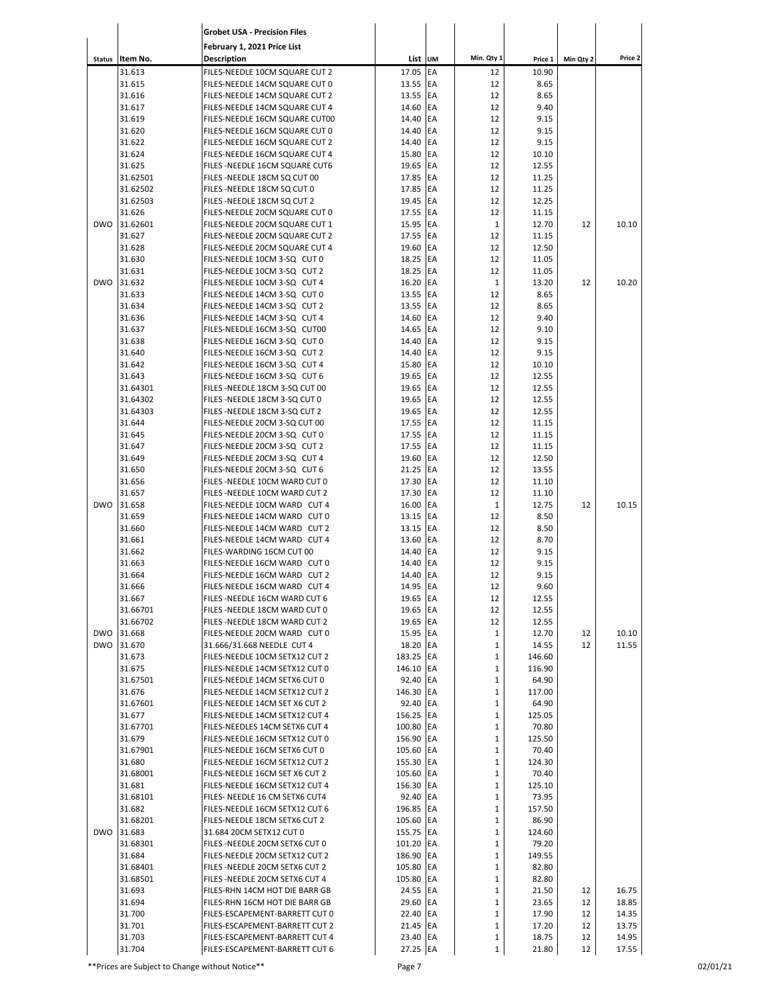|            |                      | <b>Grobet USA - Precision Files</b>                              |                       |                 |                              |                 |           |                |
|------------|----------------------|------------------------------------------------------------------|-----------------------|-----------------|------------------------------|-----------------|-----------|----------------|
|            |                      | February 1, 2021 Price List                                      |                       |                 |                              |                 |           |                |
|            | Status Item No.      | Description                                                      | List UM               |                 | Min. Qty 1                   | Price 1         | Min Qty 2 | Price 2        |
|            | 31.613<br>31.615     | FILES-NEEDLE 10CM SQUARE CUT 2<br>FILES-NEEDLE 14CM SQUARE CUT 0 | 17.05<br>13.55        | EA<br>EA        | 12<br>12                     | 10.90<br>8.65   |           |                |
|            | 31.616               | FILES-NEEDLE 14CM SQUARE CUT 2                                   | 13.55                 | EA              | 12                           | 8.65            |           |                |
|            | 31.617               | FILES-NEEDLE 14CM SQUARE CUT 4                                   | 14.60                 | EA              | 12                           | 9.40            |           |                |
|            | 31.619               | FILES-NEEDLE 16CM SQUARE CUT00                                   | 14.40                 | EA              | 12                           | 9.15            |           |                |
|            | 31.620               | FILES-NEEDLE 16CM SQUARE CUT 0                                   | 14.40                 | EA              | 12                           | 9.15            |           |                |
|            | 31.622               | FILES-NEEDLE 16CM SQUARE CUT 2                                   | 14.40                 | EA              | 12                           | 9.15            |           |                |
|            | 31.624               | FILES-NEEDLE 16CM SQUARE CUT 4                                   | 15.80                 | EA              | 12                           | 10.10           |           |                |
|            | 31.625               | FILES - NEEDLE 16CM SQUARE CUT6                                  | 19.65                 | EA              | 12                           | 12.55           |           |                |
|            | 31.62501<br>31.62502 | FILES-NEEDLE 18CM SQ CUT 00<br>FILES - NEEDLE 18CM SQ CUT 0      | 17.85<br>17.85        | EA<br><b>EA</b> | 12<br>12                     | 11.25<br>11.25  |           |                |
|            | 31.62503             | FILES - NEEDLE 18CM SQ CUT 2                                     | 19.45                 | <b>EA</b>       | 12                           | 12.25           |           |                |
|            | 31.626               | FILES-NEEDLE 20CM SQUARE CUT 0                                   | 17.55                 | EA              | 12                           | 11.15           |           |                |
| <b>DWO</b> | 31.62601             | FILES-NEEDLE 20CM SQUARE CUT 1                                   | 15.95                 | EA              | $\mathbf{1}$                 | 12.70           | 12        | 10.10          |
|            | 31.627               | FILES-NEEDLE 20CM SQUARE CUT 2                                   | 17.55                 | EA              | 12                           | 11.15           |           |                |
|            | 31.628               | FILES-NEEDLE 20CM SQUARE CUT 4                                   | 19.60                 | EA              | 12                           | 12.50           |           |                |
|            | 31.630               | FILES-NEEDLE 10CM 3-SQ CUT 0                                     | 18.25                 | EA              | 12                           | 11.05           |           |                |
|            | 31.631               | FILES-NEEDLE 10CM 3-SQ CUT 2                                     | 18.25                 | EA              | 12                           | 11.05           |           |                |
| <b>DWO</b> | 31.632               | FILES-NEEDLE 10CM 3-SQ CUT 4                                     | 16.20                 | EA              | 1                            | 13.20           | 12        | 10.20          |
|            | 31.633<br>31.634     | FILES-NEEDLE 14CM 3-SQ CUT 0<br>FILES-NEEDLE 14CM 3-SQ CUT 2     | 13.55<br>13.55        | EA<br>EA        | 12<br>12                     | 8.65<br>8.65    |           |                |
|            | 31.636               | FILES-NEEDLE 14CM 3-SQ CUT 4                                     | 14.60                 | EA              | 12                           | 9.40            |           |                |
|            | 31.637               | FILES-NEEDLE 16CM 3-SQ CUT00                                     | 14.65                 | <b>EA</b>       | 12                           | 9.10            |           |                |
|            | 31.638               | FILES-NEEDLE 16CM 3-SQ CUT 0                                     | 14.40                 | EA              | 12                           | 9.15            |           |                |
|            | 31.640               | FILES-NEEDLE 16CM 3-SQ CUT 2                                     | 14.40                 | EA              | 12                           | 9.15            |           |                |
|            | 31.642               | FILES-NEEDLE 16CM 3-SQ CUT 4                                     | 15.80                 | EA              | 12                           | 10.10           |           |                |
|            | 31.643               | FILES-NEEDLE 16CM 3-SQ CUT 6                                     | 19.65                 | EA              | 12                           | 12.55           |           |                |
|            | 31.64301             | FILES - NEEDLE 18CM 3-SQ CUT 00                                  | 19.65                 | EA              | 12                           | 12.55           |           |                |
|            | 31.64302             | FILES - NEEDLE 18CM 3-SQ CUT 0                                   | 19.65                 | EA              | 12                           | 12.55           |           |                |
|            | 31.64303             | FILES - NEEDLE 18CM 3-SQ CUT 2                                   | 19.65                 | EA<br>EA        | 12                           | 12.55           |           |                |
|            | 31.644<br>31.645     | FILES-NEEDLE 20CM 3-SQ CUT 00<br>FILES-NEEDLE 20CM 3-SQ CUT 0    | 17.55<br>17.55        | EA              | 12<br>12                     | 11.15<br>11.15  |           |                |
|            | 31.647               | FILES-NEEDLE 20CM 3-SQ CUT 2                                     | 17.55                 | EA              | 12                           | 11.15           |           |                |
|            | 31.649               | FILES-NEEDLE 20CM 3-SQ CUT 4                                     | 19.60                 | EA              | 12                           | 12.50           |           |                |
|            | 31.650               | FILES-NEEDLE 20CM 3-SQ CUT 6                                     | 21.25                 | EA              | 12                           | 13.55           |           |                |
|            | 31.656               | FILES - NEEDLE 10CM WARD CUT 0                                   | 17.30                 | EA              | 12                           | 11.10           |           |                |
|            | 31.657               | FILES - NEEDLE 10CM WARD CUT 2                                   | 17.30                 | EA              | 12                           | 11.10           |           |                |
| <b>DWO</b> | 31.658               | FILES-NEEDLE 10CM WARD CUT 4                                     | 16.00                 | EA              | $\mathbf 1$                  | 12.75           | 12        | 10.15          |
|            | 31.659               | FILES-NEEDLE 14CM WARD CUT 0                                     | 13.15                 | EA              | 12                           | 8.50            |           |                |
|            | 31.660               | FILES-NEEDLE 14CM WARD CUT 2                                     | 13.15                 | EA              | 12                           | 8.50            |           |                |
|            | 31.661<br>31.662     | FILES-NEEDLE 14CM WARD CUT 4                                     | 13.60<br>14.40        | EA<br>EA        | 12<br>12                     | 8.70<br>9.15    |           |                |
|            | 31.663               | FILES-WARDING 16CM CUT 00<br>FILES-NEEDLE 16CM WARD CUT 0        | 14.40 EA              |                 | 12                           | 9.15            |           |                |
|            | 31.664               | FILES-NEEDLE 16CM WARD CUT 2                                     | 14.40 EA              |                 | 12                           | 9.15            |           |                |
|            | 31.666               | FILES-NEEDLE 16CM WARD CUT 4                                     | 14.95 EA              |                 | 12                           | 9.60            |           |                |
|            | 31.667               | FILES - NEEDLE 16CM WARD CUT 6                                   | 19.65 EA              |                 | 12                           | 12.55           |           |                |
|            | 31.66701             | FILES - NEEDLE 18CM WARD CUT 0                                   | 19.65 EA              |                 | 12                           | 12.55           |           |                |
|            | 31.66702             | FILES - NEEDLE 18CM WARD CUT 2                                   | 19.65 EA              |                 | 12                           | 12.55           |           |                |
|            | DWO 31.668           | FILES-NEEDLE 20CM WARD CUT 0                                     | 15.95 EA              |                 | $\mathbf 1$                  | 12.70           | 12        | 10.10          |
|            | DWO 31.670           | 31.666/31.668 NEEDLE CUT 4                                       | 18.20 EA              |                 | $\mathbf{1}$                 | 14.55           | 12        | 11.55          |
|            | 31.673               | FILES-NEEDLE 10CM SETX12 CUT 2                                   | 183.25 EA             |                 | $\mathbf{1}$                 | 146.60          |           |                |
|            | 31.675<br>31.67501   | FILES-NEEDLE 14CM SETX12 CUT 0<br>FILES-NEEDLE 14CM SETX6 CUT 0  | 146.10 EA<br>92.40 EA |                 | $\mathbf 1$<br>$\mathbf 1$   | 116.90<br>64.90 |           |                |
|            | 31.676               | FILES-NEEDLE 14CM SETX12 CUT 2                                   | 146.30 EA             |                 | $\mathbf{1}$                 | 117.00          |           |                |
|            | 31.67601             | FILES-NEEDLE 14CM SET X6 CUT 2                                   | 92.40 EA              |                 | $\mathbf 1$                  | 64.90           |           |                |
|            | 31.677               | FILES-NEEDLE 14CM SETX12 CUT 4                                   | 156.25 EA             |                 | $\mathbf{1}$                 | 125.05          |           |                |
|            | 31.67701             | FILES-NEEDLES 14CM SETX6 CUT 4                                   | 100.80 EA             |                 | $\mathbf 1$                  | 70.80           |           |                |
|            | 31.679               | FILES-NEEDLE 16CM SETX12 CUT 0                                   | 156.90 EA             |                 | $\mathbf 1$                  | 125.50          |           |                |
|            | 31.67901             | FILES-NEEDLE 16CM SETX6 CUT 0                                    | 105.60 EA             |                 | $1\,$                        | 70.40           |           |                |
|            | 31.680               | FILES-NEEDLE 16CM SETX12 CUT 2                                   | 155.30 EA             |                 | $\mathbf{1}$                 | 124.30          |           |                |
|            | 31.68001             | FILES-NEEDLE 16CM SET X6 CUT 2                                   | 105.60 EA             |                 | $\mathbf 1$                  | 70.40           |           |                |
|            | 31.681               | FILES-NEEDLE 16CM SETX12 CUT 4                                   | 156.30 EA<br>92.40 EA |                 | $\mathbf{1}$<br>$\mathbf{1}$ | 125.10<br>73.95 |           |                |
|            | 31.68101<br>31.682   | FILES- NEEDLE 16 CM SETX6 CUT4<br>FILES-NEEDLE 16CM SETX12 CUT 6 | 196.85 EA             |                 | $\mathbf 1$                  | 157.50          |           |                |
|            | 31.68201             | FILES-NEEDLE 18CM SETX6 CUT 2                                    | 105.60 EA             |                 | $\mathbf{1}$                 | 86.90           |           |                |
|            | DWO 31.683           | 31.684 20CM SETX12 CUT 0                                         | 155.75 EA             |                 | $\mathbf 1$                  | 124.60          |           |                |
|            | 31.68301             | FILES - NEEDLE 20CM SETX6 CUT 0                                  | 101.20 EA             |                 | $\mathbf{1}$                 | 79.20           |           |                |
|            | 31.684               | FILES-NEEDLE 20CM SETX12 CUT 2                                   | 186.90 EA             |                 | $\mathbf 1$                  | 149.55          |           |                |
|            | 31.68401             | FILES - NEEDLE 20CM SETX6 CUT 2                                  | 105.80 EA             |                 | $\mathbf 1$                  | 82.80           |           |                |
|            | 31.68501             | FILES - NEEDLE 20CM SETX6 CUT 4                                  | 105.80 EA             |                 | $\mathbf 1$                  | 82.80           |           |                |
|            | 31.693               | FILES-RHN 14CM HOT DIE BARR GB                                   | 24.55 EA              |                 | $\mathbf 1$                  | 21.50           | 12        | 16.75          |
|            | 31.694               | FILES-RHN 16CM HOT DIE BARR GB                                   | 29.60 EA              |                 | $\mathbf 1$                  | 23.65           | 12        | 18.85          |
|            | 31.700               | FILES-ESCAPEMENT-BARRETT CUT 0                                   | 22.40 EA              |                 | $\mathbf 1$                  | 17.90           | 12        | 14.35          |
|            | 31.701<br>31.703     | FILES-ESCAPEMENT-BARRETT CUT 2<br>FILES-ESCAPEMENT-BARRETT CUT 4 | 21.45 EA<br>23.40 EA  |                 | $\mathbf 1$                  | 17.20<br>18.75  | 12<br>12  | 13.75          |
|            | 31.704               | FILES-ESCAPEMENT-BARRETT CUT 6                                   | 27.25 EA              |                 | $\mathbf{1}$<br>$1\,$        | 21.80           | 12        | 14.95<br>17.55 |
|            |                      |                                                                  |                       |                 |                              |                 |           |                |

\*\*Prices are Subject to Change without Notice\*\* Page 7 02/01/21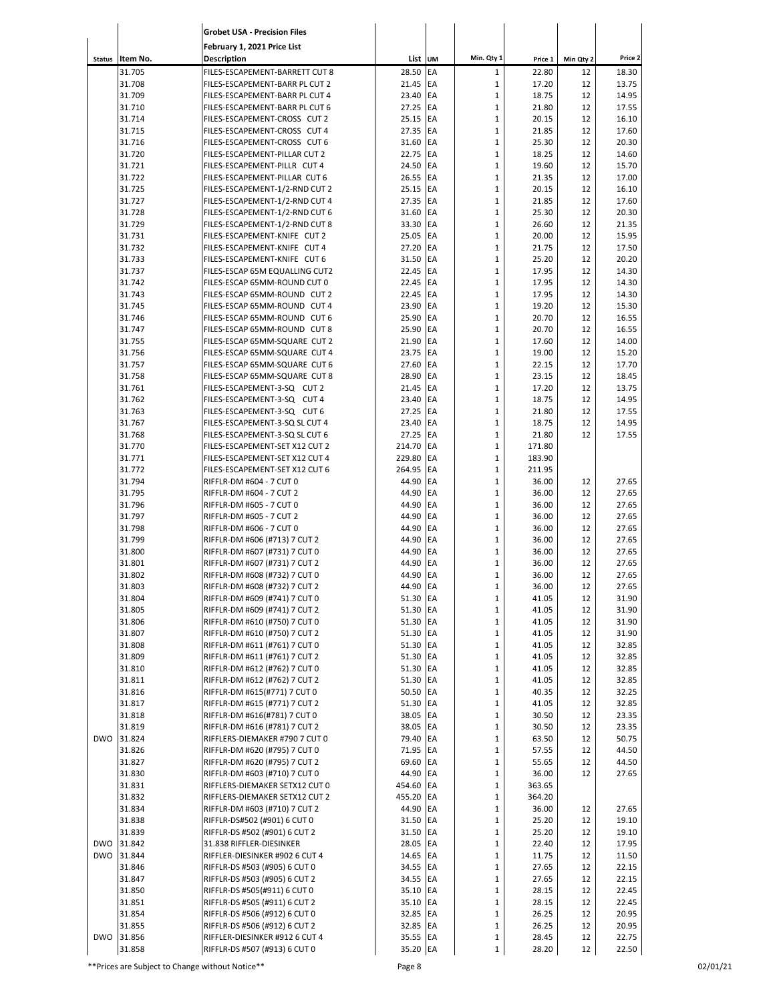|               |                  | <b>Grobet USA - Precision Files</b>                               |                      |           |                             |                 |           |                |
|---------------|------------------|-------------------------------------------------------------------|----------------------|-----------|-----------------------------|-----------------|-----------|----------------|
|               |                  | February 1, 2021 Price List                                       |                      |           |                             |                 |           |                |
| <b>Status</b> | Item No.         | <b>Description</b>                                                | List UM              |           | Min. Qty 1                  | Price 1         | Min Qty 2 | Price 2        |
|               | 31.705           | FILES-ESCAPEMENT-BARRETT CUT 8                                    | 28.50                | EA        | $\mathbf{1}$                | 22.80           | 12        | 18.30          |
|               | 31.708           | FILES-ESCAPEMENT-BARR PL CUT 2                                    | 21.45                | EA        | $\mathbf 1$                 | 17.20           | 12        | 13.75          |
|               | 31.709           | FILES-ESCAPEMENT-BARR PL CUT 4                                    | 23.40                | EA        | $\mathbf 1$                 | 18.75           | 12        | 14.95          |
|               | 31.710<br>31.714 | FILES-ESCAPEMENT-BARR PL CUT 6<br>FILES-ESCAPEMENT-CROSS CUT 2    | 27.25<br>25.15       | EA<br>EA  | $\mathbf 1$<br>$\mathbf 1$  | 21.80<br>20.15  | 12<br>12  | 17.55<br>16.10 |
|               | 31.715           | FILES-ESCAPEMENT-CROSS CUT 4                                      | 27.35                | EA        | $\mathbf 1$                 | 21.85           | 12        | 17.60          |
|               | 31.716           | FILES-ESCAPEMENT-CROSS CUT 6                                      | 31.60                | EA        | $\mathbf{1}$                | 25.30           | 12        | 20.30          |
|               | 31.720           | FILES-ESCAPEMENT-PILLAR CUT 2                                     | 22.75                | EA        | $\mathbf{1}$                | 18.25           | 12        | 14.60          |
|               | 31.721           | FILES-ESCAPEMENT-PILLR CUT 4                                      | 24.50                | EA        | $\mathbf 1$                 | 19.60           | 12        | 15.70          |
|               | 31.722<br>31.725 | FILES-ESCAPEMENT-PILLAR CUT 6<br>FILES-ESCAPEMENT-1/2-RND CUT 2   | 26.55<br>25.15       | EA<br>EA  | $\mathbf 1$<br>$\mathbf 1$  | 21.35<br>20.15  | 12<br>12  | 17.00<br>16.10 |
|               | 31.727           | FILES-ESCAPEMENT-1/2-RND CUT 4                                    | 27.35                | EA        | $\mathbf 1$                 | 21.85           | 12        | 17.60          |
|               | 31.728           | FILES-ESCAPEMENT-1/2-RND CUT 6                                    | 31.60                | EA        | $\mathbf 1$                 | 25.30           | 12        | 20.30          |
|               | 31.729           | FILES-ESCAPEMENT-1/2-RND CUT 8                                    | 33.30                | EA        | $\mathbf 1$                 | 26.60           | 12        | 21.35          |
|               | 31.731           | FILES-ESCAPEMENT-KNIFE CUT 2                                      | 25.05                | EA        | $\mathbf 1$                 | 20.00           | 12        | 15.95          |
|               | 31.732<br>31.733 | FILES-ESCAPEMENT-KNIFE CUT 4<br>FILES-ESCAPEMENT-KNIFE CUT 6      | 27.20<br>31.50       | EA<br>EA  | $\mathbf 1$<br>$\mathbf 1$  | 21.75<br>25.20  | 12<br>12  | 17.50<br>20.20 |
|               | 31.737           | FILES-ESCAP 65M EQUALLING CUT2                                    | 22.45                | EA        | $\mathbf 1$                 | 17.95           | 12        | 14.30          |
|               | 31.742           | FILES-ESCAP 65MM-ROUND CUT 0                                      | 22.45                | EA        | $\mathbf{1}$                | 17.95           | 12        | 14.30          |
|               | 31.743           | FILES-ESCAP 65MM-ROUND CUT 2                                      | 22.45                | EA        | $\mathbf{1}$                | 17.95           | 12        | 14.30          |
|               | 31.745           | FILES-ESCAP 65MM-ROUND CUT 4                                      | 23.90                | EA        | $\mathbf 1$                 | 19.20           | 12        | 15.30          |
|               | 31.746<br>31.747 | FILES-ESCAP 65MM-ROUND CUT 6                                      | 25.90                | EA<br>EA  | $\mathbf 1$<br>$\mathbf 1$  | 20.70<br>20.70  | 12        | 16.55          |
|               | 31.755           | FILES-ESCAP 65MM-ROUND CUT 8<br>FILES-ESCAP 65MM-SQUARE CUT 2     | 25.90<br>21.90       | EA        | $\mathbf 1$                 | 17.60           | 12<br>12  | 16.55<br>14.00 |
|               | 31.756           | FILES-ESCAP 65MM-SQUARE CUT 4                                     | 23.75                | EA        | $\mathbf 1$                 | 19.00           | 12        | 15.20          |
|               | 31.757           | FILES-ESCAP 65MM-SQUARE CUT 6                                     | 27.60                | EA        | $\mathbf 1$                 | 22.15           | 12        | 17.70          |
|               | 31.758           | FILES-ESCAP 65MM-SQUARE CUT 8                                     | 28.90                | EA        | $\mathbf 1$                 | 23.15           | 12        | 18.45          |
|               | 31.761           | FILES-ESCAPEMENT-3-SQ CUT 2                                       | 21.45                | EA<br>EA  | $\mathbf 1$                 | 17.20           | 12        | 13.75          |
|               | 31.762<br>31.763 | FILES-ESCAPEMENT-3-SQ CUT 4<br>FILES-ESCAPEMENT-3-SQ CUT 6        | 23.40<br>27.25       | EA        | $\mathbf 1$<br>$\mathbf 1$  | 18.75<br>21.80  | 12<br>12  | 14.95<br>17.55 |
|               | 31.767           | FILES-ESCAPEMENT-3-SQ SL CUT 4                                    | 23.40                | EA        | $\mathbf{1}$                | 18.75           | 12        | 14.95          |
|               | 31.768           | FILES-ESCAPEMENT-3-SQ SL CUT 6                                    | 27.25                | EA        | $\mathbf{1}$                | 21.80           | 12        | 17.55          |
|               | 31.770           | FILES-ESCAPEMENT-SET X12 CUT 2                                    | 214.70               | EA        | $\mathbf 1$                 | 171.80          |           |                |
|               | 31.771           | FILES-ESCAPEMENT-SET X12 CUT 4                                    | 229.80               | EA        | $\mathbf 1$                 | 183.90          |           |                |
|               | 31.772<br>31.794 | FILES-ESCAPEMENT-SET X12 CUT 6<br><b>RIFFLR-DM #604 - 7 CUT 0</b> | 264.95<br>44.90      | EA<br>EA  | $\mathbf 1$<br>$\mathbf 1$  | 211.95<br>36.00 | 12        | 27.65          |
|               | 31.795           | <b>RIFFLR-DM #604 - 7 CUT 2</b>                                   | 44.90                | EA        | $\mathbf 1$                 | 36.00           | 12        | 27.65          |
|               | 31.796           | RIFFLR-DM #605 - 7 CUT 0                                          | 44.90                | EA        | $\mathbf 1$                 | 36.00           | 12        | 27.65          |
|               | 31.797           | RIFFLR-DM #605 - 7 CUT 2                                          | 44.90                | EA        | $\mathbf 1$                 | 36.00           | 12        | 27.65          |
|               | 31.798           | RIFFLR-DM #606 - 7 CUT 0                                          | 44.90                | EA        | $\mathbf 1$                 | 36.00           | 12        | 27.65          |
|               | 31.799<br>31.800 | RIFFLR-DM #606 (#713) 7 CUT 2<br>RIFFLR-DM #607 (#731) 7 CUT 0    | 44.90<br>44.90       | EA<br>EA  | $\mathbf 1$<br>$\mathbf{1}$ | 36.00<br>36.00  | 12<br>12  | 27.65<br>27.65 |
|               | 31.801           | RIFFLR-DM #607 (#731) 7 CUT 2                                     | 44.90                | EA        | 1                           | 36.00           | 12        | 27.65          |
|               | 31.802           | RIFFLR-DM #608 (#732) 7 CUT 0                                     | 44.90 EA             |           | 1                           | 36.00           | 12        | 27.65          |
|               | 31.803           | RIFFLR-DM #608 (#732) 7 CUT 2                                     | 44.90                | EA        | $\mathbf 1$                 | 36.00           | 12        | 27.65          |
|               | 31.804           | RIFFLR-DM #609 (#741) 7 CUT 0                                     | 51.30                | EA        | $\mathbf{1}$                | 41.05           | 12        | 31.90          |
|               | 31.805<br>31.806 | RIFFLR-DM #609 (#741) 7 CUT 2<br>RIFFLR-DM #610 (#750) 7 CUT 0    | 51.30<br>51.30 EA    | <b>EA</b> | $\mathbf 1$<br>$\mathbf 1$  | 41.05<br>41.05  | 12<br>12  | 31.90<br>31.90 |
|               | 31.807           | RIFFLR-DM #610 (#750) 7 CUT 2                                     | 51.30 EA             |           | $\mathbf 1$                 | 41.05           | 12        | 31.90          |
|               | 31.808           | RIFFLR-DM #611 (#761) 7 CUT 0                                     | 51.30 EA             |           | $\mathbf 1$                 | 41.05           | 12        | 32.85          |
|               | 31.809           | RIFFLR-DM #611 (#761) 7 CUT 2                                     | 51.30 EA             |           | $\mathbf 1$                 | 41.05           | 12        | 32.85          |
|               | 31.810           | RIFFLR-DM #612 (#762) 7 CUT 0                                     | 51.30 EA<br>51.30 EA |           | $\mathbf 1$                 | 41.05           | 12        | 32.85          |
|               | 31.811<br>31.816 | RIFFLR-DM #612 (#762) 7 CUT 2<br>RIFFLR-DM #615(#771) 7 CUT 0     | 50.50 EA             |           | $\mathbf 1$<br>$\mathbf 1$  | 41.05<br>40.35  | 12<br>12  | 32.85<br>32.25 |
|               | 31.817           | RIFFLR-DM #615 (#771) 7 CUT 2                                     | 51.30                | EA        | $\mathbf{1}$                | 41.05           | 12        | 32.85          |
|               | 31.818           | RIFFLR-DM #616(#781) 7 CUT 0                                      | 38.05                | EA        | $\mathbf 1$                 | 30.50           | 12        | 23.35          |
|               | 31.819           | RIFFLR-DM #616 (#781) 7 CUT 2                                     | 38.05 EA             |           | $\mathbf 1$                 | 30.50           | 12        | 23.35          |
| <b>DWO</b>    | 31.824           | RIFFLERS-DIEMAKER #790 7 CUT 0                                    | 79.40 EA             |           | $\mathbf 1$                 | 63.50           | 12        | 50.75          |
|               | 31.826<br>31.827 | RIFFLR-DM #620 (#795) 7 CUT 0<br>RIFFLR-DM #620 (#795) 7 CUT 2    | 71.95 EA<br>69.60 EA |           | $\mathbf 1$<br>$\mathbf 1$  | 57.55<br>55.65  | 12<br>12  | 44.50<br>44.50 |
|               | 31.830           | RIFFLR-DM #603 (#710) 7 CUT 0                                     | 44.90 EA             |           | $\mathbf 1$                 | 36.00           | 12        | 27.65          |
|               | 31.831           | RIFFLERS-DIEMAKER SETX12 CUT 0                                    | 454.60 EA            |           | $\mathbf 1$                 | 363.65          |           |                |
|               | 31.832           | RIFFLERS-DIEMAKER SETX12 CUT 2                                    | 455.20               | <b>EA</b> | $\mathbf 1$                 | 364.20          |           |                |
|               | 31.834           | RIFFLR-DM #603 (#710) 7 CUT 2                                     | 44.90                | EA        | $\mathbf 1$                 | 36.00           | 12        | 27.65          |
|               | 31.838<br>31.839 | RIFFLR-DS#502 (#901) 6 CUT 0<br>RIFFLR-DS #502 (#901) 6 CUT 2     | 31.50 EA<br>31.50 EA |           | $\mathbf 1$<br>$\mathbf 1$  | 25.20<br>25.20  | 12<br>12  | 19.10<br>19.10 |
| <b>DWO</b>    | 31.842           | 31.838 RIFFLER-DIESINKER                                          | 28.05                | EA        | $\mathbf 1$                 | 22.40           | 12        | 17.95          |
| <b>DWO</b>    | 31.844           | RIFFLER-DIESINKER #902 6 CUT 4                                    | 14.65 EA             |           | $\mathbf{1}$                | 11.75           | 12        | 11.50          |
|               | 31.846           | RIFFLR-DS #503 (#905) 6 CUT 0                                     | 34.55 EA             |           | $\mathbf 1$                 | 27.65           | 12        | 22.15          |
|               | 31.847           | RIFFLR-DS #503 (#905) 6 CUT 2                                     | 34.55 EA             |           | $\mathbf 1$                 | 27.65           | 12        | 22.15          |
|               | 31.850           | RIFFLR-DS #505(#911) 6 CUT 0<br>RIFFLR-DS #505 (#911) 6 CUT 2     | 35.10 EA             |           | $\mathbf 1$<br>$\mathbf 1$  | 28.15           | 12<br>12  | 22.45<br>22.45 |
|               | 31.851<br>31.854 | RIFFLR-DS #506 (#912) 6 CUT 0                                     | 35.10 EA<br>32.85 EA |           | $\mathbf 1$                 | 28.15<br>26.25  | 12        | 20.95          |
|               | 31.855           | RIFFLR-DS #506 (#912) 6 CUT 2                                     | 32.85 EA             |           | $\mathbf 1$                 | 26.25           | 12        | 20.95          |
| <b>DWO</b>    | 31.856           | RIFFLER-DIESINKER #912 6 CUT 4                                    | 35.55 EA             |           | $\mathbf 1$                 | 28.45           | 12        | 22.75          |
|               | 31.858           | RIFFLR-DS #507 (#913) 6 CUT 0                                     | 35.20 EA             |           | $\mathbf 1$                 | 28.20           | 12        | 22.50          |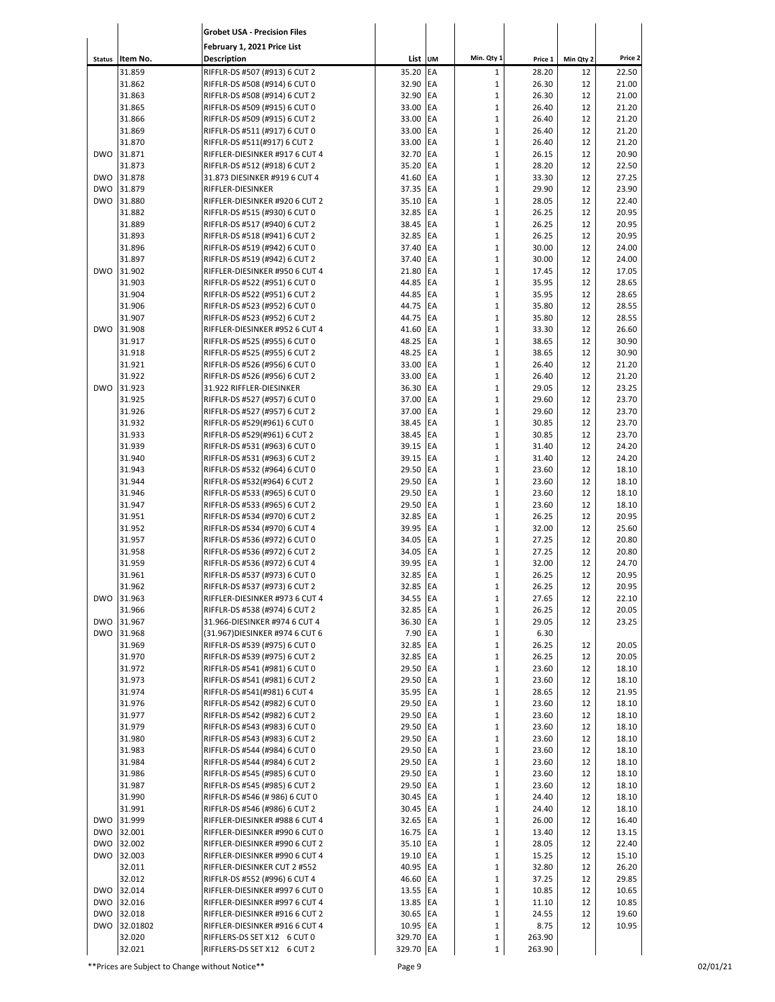|                          |                          | <b>Grobet USA - Precision Files</b>                              |                       |                 |                              |                |           |                |
|--------------------------|--------------------------|------------------------------------------------------------------|-----------------------|-----------------|------------------------------|----------------|-----------|----------------|
|                          |                          | February 1, 2021 Price List                                      |                       |                 |                              |                |           |                |
|                          | Status Item No.          | Description                                                      | List UM               |                 | Min. Qty 1                   | Price 1        | Min Qty 2 | Price 2        |
|                          | 31.859                   | RIFFLR-DS #507 (#913) 6 CUT 2                                    | 35.20                 | EA              | $\mathbf 1$                  | 28.20          | 12        | 22.50          |
|                          | 31.862                   | RIFFLR-DS #508 (#914) 6 CUT 0                                    | 32.90                 | EA              | $\mathbf{1}$                 | 26.30          | 12        | 21.00          |
|                          | 31.863                   | RIFFLR-DS #508 (#914) 6 CUT 2                                    | 32.90                 | EA              | $\mathbf{1}$                 | 26.30          | 12        | 21.00          |
|                          | 31.865<br>31.866         | RIFFLR-DS #509 (#915) 6 CUT 0<br>RIFFLR-DS #509 (#915) 6 CUT 2   | 33.00<br>33.00        | EA<br>EA        | $\mathbf{1}$<br>$\mathbf{1}$ | 26.40<br>26.40 | 12<br>12  | 21.20<br>21.20 |
|                          | 31.869                   | RIFFLR-DS #511 (#917) 6 CUT 0                                    | 33.00                 | EA              | $\mathbf{1}$                 | 26.40          | 12        | 21.20          |
|                          | 31.870                   | RIFFLR-DS #511(#917) 6 CUT 2                                     | 33.00                 | EA              | $\mathbf{1}$                 | 26.40          | 12        | 21.20          |
| <b>DWO</b>               | 31.871                   | RIFFLER-DIESINKER #917 6 CUT 4                                   | 32.70                 | EA              | $\mathbf{1}$                 | 26.15          | 12        | 20.90          |
|                          | 31.873                   | RIFFLR-DS #512 (#918) 6 CUT 2                                    | 35.20                 | EA              | $\mathbf{1}$                 | 28.20          | 12        | 22.50          |
| <b>DWO</b><br><b>DWO</b> | 31.878<br>31.879         | 31.873 DIESINKER #919 6 CUT 4<br>RIFFLER-DIESINKER               | 41.60<br>37.35        | EA<br>EA        | $\mathbf{1}$<br>$\mathbf 1$  | 33.30<br>29.90 | 12<br>12  | 27.25<br>23.90 |
| <b>DWO</b>               | 31.880                   | RIFFLER-DIESINKER #920 6 CUT 2                                   | 35.10                 | EA              | $\mathbf 1$                  | 28.05          | 12        | 22.40          |
|                          | 31.882                   | RIFFLR-DS #515 (#930) 6 CUT 0                                    | 32.85                 | EA              | $\mathbf{1}$                 | 26.25          | 12        | 20.95          |
|                          | 31.889                   | RIFFLR-DS #517 (#940) 6 CUT 2                                    | 38.45                 | EA              | $\mathbf{1}$                 | 26.25          | 12        | 20.95          |
|                          | 31.893                   | RIFFLR-DS #518 (#941) 6 CUT 2                                    | 32.85                 | EA              | $\mathbf{1}$                 | 26.25          | 12        | 20.95          |
|                          | 31.896                   | RIFFLR-DS #519 (#942) 6 CUT 0                                    | 37.40                 | EA              | $\mathbf{1}$                 | 30.00          | 12        | 24.00          |
| <b>DWO</b>               | 31.897<br>31.902         | RIFFLR-DS #519 (#942) 6 CUT 2<br>RIFFLER-DIESINKER #950 6 CUT 4  | 37.40<br>21.80        | EA<br>EA        | $\mathbf 1$<br>$\mathbf{1}$  | 30.00<br>17.45 | 12<br>12  | 24.00<br>17.05 |
|                          | 31.903                   | RIFFLR-DS #522 (#951) 6 CUT 0                                    | 44.85                 | EA              | $\mathbf{1}$                 | 35.95          | 12        | 28.65          |
|                          | 31.904                   | RIFFLR-DS #522 (#951) 6 CUT 2                                    | 44.85                 | EA              | $\mathbf{1}$                 | 35.95          | 12        | 28.65          |
|                          | 31.906                   | RIFFLR-DS #523 (#952) 6 CUT 0                                    | 44.75                 | EA              | $\mathbf{1}$                 | 35.80          | 12        | 28.55          |
|                          | 31.907                   | RIFFLR-DS #523 (#952) 6 CUT 2                                    | 44.75                 | EA              | $\mathbf{1}$                 | 35.80          | 12        | 28.55          |
| <b>DWO</b>               | 31.908                   | RIFFLER-DIESINKER #952 6 CUT 4                                   | 41.60                 | EA              | $\mathbf 1$                  | 33.30          | 12        | 26.60          |
|                          | 31.917<br>31.918         | RIFFLR-DS #525 (#955) 6 CUT 0                                    | 48.25<br>48.25        | <b>EA</b><br>EA | $\mathbf{1}$<br>$\mathbf 1$  | 38.65<br>38.65 | 12<br>12  | 30.90<br>30.90 |
|                          | 31.921                   | RIFFLR-DS #525 (#955) 6 CUT 2<br>RIFFLR-DS #526 (#956) 6 CUT 0   | 33.00                 | EA              | $\mathbf{1}$                 | 26.40          | 12        | 21.20          |
|                          | 31.922                   | RIFFLR-DS #526 (#956) 6 CUT 2                                    | 33.00                 | EA              | $\mathbf{1}$                 | 26.40          | 12        | 21.20          |
| <b>DWO</b>               | 31.923                   | 31.922 RIFFLER-DIESINKER                                         | 36.30                 | EA              | $\mathbf{1}$                 | 29.05          | 12        | 23.25          |
|                          | 31.925                   | RIFFLR-DS #527 (#957) 6 CUT 0                                    | 37.00                 | EA              | $\mathbf{1}$                 | 29.60          | 12        | 23.70          |
|                          | 31.926                   | RIFFLR-DS #527 (#957) 6 CUT 2                                    | 37.00                 | EA              | $\mathbf 1$                  | 29.60          | 12        | 23.70          |
|                          | 31.932<br>31.933         | RIFFLR-DS #529(#961) 6 CUT 0                                     | 38.45<br>38.45        | EA<br>EA        | $\mathbf{1}$<br>$\mathbf{1}$ | 30.85<br>30.85 | 12<br>12  | 23.70<br>23.70 |
|                          | 31.939                   | RIFFLR-DS #529(#961) 6 CUT 2<br>RIFFLR-DS #531 (#963) 6 CUT 0    | 39.15                 | EA              | $\mathbf{1}$                 | 31.40          | 12        | 24.20          |
|                          | 31.940                   | RIFFLR-DS #531 (#963) 6 CUT 2                                    | 39.15                 | EA              | $\mathbf 1$                  | 31.40          | 12        | 24.20          |
|                          | 31.943                   | RIFFLR-DS #532 (#964) 6 CUT 0                                    | 29.50                 | EA              | $\mathbf{1}$                 | 23.60          | 12        | 18.10          |
|                          | 31.944                   | RIFFLR-DS #532(#964) 6 CUT 2                                     | 29.50                 | EA              | $\mathbf 1$                  | 23.60          | 12        | 18.10          |
|                          | 31.946                   | RIFFLR-DS #533 (#965) 6 CUT 0                                    | 29.50                 | EA              | $\mathbf{1}$                 | 23.60          | 12        | 18.10          |
|                          | 31.947                   | RIFFLR-DS #533 (#965) 6 CUT 2                                    | 29.50                 | EA<br>EA        | $\mathbf{1}$                 | 23.60          | 12<br>12  | 18.10          |
|                          | 31.951<br>31.952         | RIFFLR-DS #534 (#970) 6 CUT 2<br>RIFFLR-DS #534 (#970) 6 CUT 4   | 32.85<br>39.95        | EA              | $\mathbf 1$<br>$\mathbf{1}$  | 26.25<br>32.00 | 12        | 20.95<br>25.60 |
|                          | 31.957                   | RIFFLR-DS #536 (#972) 6 CUT 0                                    | 34.05                 | EA              | $\mathbf{1}$                 | 27.25          | 12        | 20.80          |
|                          | 31.958                   | RIFFLR-DS #536 (#972) 6 CUT 2                                    | 34.05                 | EA              | $\mathbf 1$                  | 27.25          | 12        | 20.80          |
|                          | 31.959                   | RIFFLR-DS #536 (#972) 6 CUT 4                                    | 39.95                 | EA              | $\mathbf 1$                  | 32.00          | 12        | 24.70          |
|                          | 31.961                   | RIFFLR-DS #537 (#973) 6 CUT 0                                    | 32.85 EA              |                 | $\mathbf{1}$                 | 26.25          | 12        | 20.95          |
| DWO                      | 31.962<br>31.963         | RIFFLR-DS #537 (#973) 6 CUT 2<br>RIFFLER-DIESINKER #973 6 CUT 4  | 32.85 EA<br>34.55 EA  |                 | $\mathbf{1}$                 | 26.25          | 12        | 20.95<br>22.10 |
|                          | 31.966                   | RIFFLR-DS #538 (#974) 6 CUT 2                                    | 32.85 EA              |                 | $\mathbf 1$<br>$\mathbf 1$   | 27.65<br>26.25 | 12<br>12  | 20.05          |
|                          | DWO 31.967               | 31.966-DIESINKER #974 6 CUT 4                                    | 36.30 EA              |                 | $\mathbf 1$                  | 29.05          | 12        | 23.25          |
| DWO                      | 31.968                   | (31.967) DIESINKER #974 6 CUT 6                                  | 7.90 EA               |                 | $\mathbf 1$                  | 6.30           |           |                |
|                          | 31.969                   | RIFFLR-DS #539 (#975) 6 CUT 0                                    | 32.85 EA              |                 | $\mathbf 1$                  | 26.25          | 12        | 20.05          |
|                          | 31.970                   | RIFFLR-DS #539 (#975) 6 CUT 2                                    | 32.85 EA              |                 | $\mathbf 1$                  | 26.25          | 12        | 20.05          |
|                          | 31.972<br>31.973         | RIFFLR-DS #541 (#981) 6 CUT 0<br>RIFFLR-DS #541 (#981) 6 CUT 2   | 29.50 EA<br>29.50 EA  |                 | $\mathbf 1$<br>$\mathbf 1$   | 23.60<br>23.60 | 12<br>12  | 18.10<br>18.10 |
|                          | 31.974                   | RIFFLR-DS #541(#981) 6 CUT 4                                     | 35.95 EA              |                 | $\mathbf 1$                  | 28.65          | 12        | 21.95          |
|                          | 31.976                   | RIFFLR-DS #542 (#982) 6 CUT 0                                    | 29.50 EA              |                 | $\mathbf 1$                  | 23.60          | 12        | 18.10          |
|                          | 31.977                   | RIFFLR-DS #542 (#982) 6 CUT 2                                    | 29.50 EA              |                 | $\mathbf 1$                  | 23.60          | 12        | 18.10          |
|                          | 31.979                   | RIFFLR-DS #543 (#983) 6 CUT 0                                    | 29.50 EA              |                 | $\mathbf 1$                  | 23.60          | 12        | 18.10          |
|                          | 31.980                   | RIFFLR-DS #543 (#983) 6 CUT 2                                    | 29.50 EA              |                 | $\mathbf 1$                  | 23.60          | 12        | 18.10          |
|                          | 31.983<br>31.984         | RIFFLR-DS #544 (#984) 6 CUT 0<br>RIFFLR-DS #544 (#984) 6 CUT 2   | 29.50 EA<br>29.50 EA  |                 | $\mathbf 1$<br>$\mathbf 1$   | 23.60<br>23.60 | 12<br>12  | 18.10<br>18.10 |
|                          | 31.986                   | RIFFLR-DS #545 (#985) 6 CUT 0                                    | 29.50 EA              |                 | $\mathbf 1$                  | 23.60          | 12        | 18.10          |
|                          | 31.987                   | RIFFLR-DS #545 (#985) 6 CUT 2                                    | 29.50 EA              |                 | $\mathbf 1$                  | 23.60          | 12        | 18.10          |
|                          | 31.990                   | RIFFLR-DS #546 (# 986) 6 CUT 0                                   | 30.45 EA              |                 | $\mathbf 1$                  | 24.40          | 12        | 18.10          |
|                          | 31.991                   | RIFFLR-DS #546 (#986) 6 CUT 2                                    | 30.45 EA              |                 | $\mathbf 1$                  | 24.40          | 12        | 18.10          |
|                          | DWO 31.999               | RIFFLER-DIESINKER #988 6 CUT 4                                   | 32.65 EA              |                 | $\mathbf 1$                  | 26.00          | 12        | 16.40          |
|                          | DWO 32.001<br>DWO 32.002 | RIFFLER-DIESINKER #990 6 CUT 0                                   | 16.75 EA              |                 | $\mathbf 1$<br>$\mathbf 1$   | 13.40<br>28.05 | 12        | 13.15<br>22.40 |
| DWO                      | 32.003                   | RIFFLER-DIESINKER #990 6 CUT 2<br>RIFFLER-DIESINKER #990 6 CUT 4 | 35.10 EA<br>19.10 EA  |                 | $\mathbf 1$                  | 15.25          | 12<br>12  | 15.10          |
|                          | 32.011                   | RIFFLER-DIESINKER CUT 2 #552                                     | 40.95 EA              |                 | $\mathbf 1$                  | 32.80          | 12        | 26.20          |
|                          | 32.012                   | RIFFLR-DS #552 (#996) 6 CUT 4                                    | 46.60 EA              |                 | $\mathbf 1$                  | 37.25          | 12        | 29.85          |
|                          | DWO 32.014               | RIFFLER-DIESINKER #997 6 CUT 0                                   | 13.55 EA              |                 | $\mathbf 1$                  | 10.85          | 12        | 10.65          |
|                          | DWO 32.016               | RIFFLER-DIESINKER #997 6 CUT 4                                   | 13.85 EA              |                 | $\mathbf 1$                  | 11.10          | 12        | 10.85          |
| <b>DWO</b>               | 32.018                   | RIFFLER-DIESINKER #916 6 CUT 2                                   | 30.65 EA              |                 | $\mathbf 1$                  | 24.55          | 12<br>12  | 19.60<br>10.95 |
| DWO                      | 32.01802<br>32.020       | RIFFLER-DIESINKER #916 6 CUT 4<br>RIFFLERS-DS SET X12 6 CUT 0    | 10.95 EA<br>329.70 EA |                 | $\mathbf 1$<br>$\mathbf 1$   | 8.75<br>263.90 |           |                |
|                          | 32.021                   | RIFFLERS-DS SET X12 6 CUT 2                                      | 329.70 EA             |                 | $\mathbf 1$                  | 263.90         |           |                |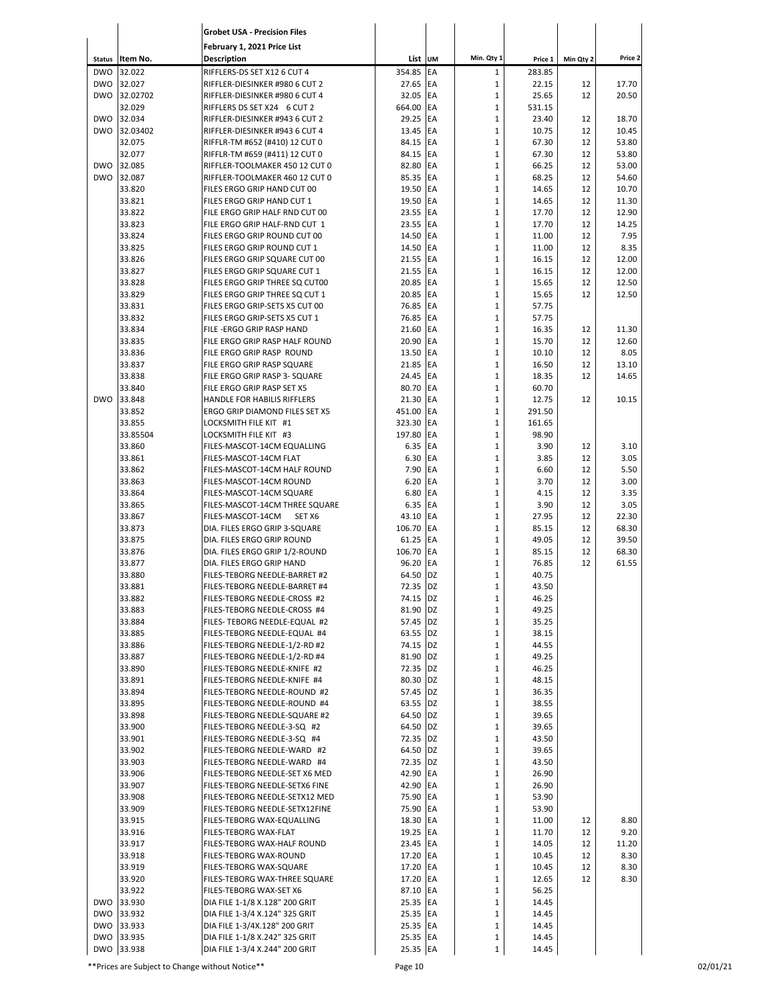|                             |                    | <b>Grobet USA - Precision Files</b>                              |                      |            |                              |                   |           |                |
|-----------------------------|--------------------|------------------------------------------------------------------|----------------------|------------|------------------------------|-------------------|-----------|----------------|
|                             |                    | February 1, 2021 Price List                                      |                      |            | Min. Qty 1                   |                   |           | Price 2        |
| <b>Status</b><br><b>DWO</b> | Item No.<br>32.022 | <b>Description</b><br>RIFFLERS-DS SET X12 6 CUT 4                | List UM<br>354.85    | EA         | $\mathbf 1$                  | Price 1<br>283.85 | Min Qty 2 |                |
| <b>DWO</b>                  | 32.027             | RIFFLER-DIESINKER #980 6 CUT 2                                   | 27.65                | EA         | $\mathbf 1$                  | 22.15             | 12        | 17.70          |
| <b>DWO</b>                  | 32.02702           | RIFFLER-DIESINKER #980 6 CUT 4                                   | 32.05                | EA         | $\mathbf 1$                  | 25.65             | 12        | 20.50          |
|                             | 32.029             | RIFFLERS DS SET X24 6 CUT 2                                      | 664.00               | EA         | $\mathbf{1}$                 | 531.15            |           |                |
| <b>DWO</b>                  | 32.034             | RIFFLER-DIESINKER #943 6 CUT 2                                   | 29.25                | EA         | $\mathbf{1}$                 | 23.40             | 12        | 18.70          |
| <b>DWO</b>                  | 32.03402<br>32.075 | RIFFLER-DIESINKER #943 6 CUT 4<br>RIFFLR-TM #652 (#410) 12 CUT 0 | 13.45<br>84.15       | EA<br>EA   | $\mathbf{1}$<br>$\mathbf{1}$ | 10.75<br>67.30    | 12<br>12  | 10.45<br>53.80 |
|                             | 32.077             | RIFFLR-TM #659 (#411) 12 CUT 0                                   | 84.15                | EA         | $\mathbf{1}$                 | 67.30             | 12        | 53.80          |
| <b>DWO</b>                  | 32.085             | RIFFLER-TOOLMAKER 450 12 CUT 0                                   | 82.80                | EA         | $\mathbf{1}$                 | 66.25             | 12        | 53.00          |
| <b>DWO</b>                  | 32.087             | RIFFLER-TOOLMAKER 460 12 CUT 0                                   | 85.35                | EA         | $\mathbf{1}$                 | 68.25             | 12        | 54.60          |
|                             | 33.820             | FILES ERGO GRIP HAND CUT 00                                      | 19.50                | EA         | $\mathbf{1}$                 | 14.65             | 12        | 10.70          |
|                             | 33.821             | FILES ERGO GRIP HAND CUT 1                                       | 19.50                | EA         | $\mathbf{1}$                 | 14.65             | 12        | 11.30          |
|                             | 33.822             | FILE ERGO GRIP HALF RND CUT 00                                   | 23.55                | EA         | $\mathbf{1}$                 | 17.70             | 12        | 12.90          |
|                             | 33.823<br>33.824   | FILE ERGO GRIP HALF-RND CUT 1<br>FILES ERGO GRIP ROUND CUT 00    | 23.55<br>14.50       | EA<br>EA   | $\mathbf{1}$<br>$\mathbf{1}$ | 17.70<br>11.00    | 12<br>12  | 14.25<br>7.95  |
|                             | 33.825             | FILES ERGO GRIP ROUND CUT 1                                      | 14.50                | EA         | $\mathbf{1}$                 | 11.00             | 12        | 8.35           |
|                             | 33.826             | FILES ERGO GRIP SQUARE CUT 00                                    | 21.55                | EA         | $\mathbf{1}$                 | 16.15             | 12        | 12.00          |
|                             | 33.827             | FILES ERGO GRIP SQUARE CUT 1                                     | 21.55                | EA         | $\mathbf{1}$                 | 16.15             | 12        | 12.00          |
|                             | 33.828             | FILES ERGO GRIP THREE SQ CUT00                                   | 20.85                | EA         | $\mathbf{1}$                 | 15.65             | 12        | 12.50          |
|                             | 33.829             | FILES ERGO GRIP THREE SQ CUT 1                                   | 20.85                | EA         | $\mathbf{1}$                 | 15.65             | 12        | 12.50          |
|                             | 33.831             | FILES ERGO GRIP-SETS X5 CUT 00                                   | 76.85                | EA         | $\mathbf 1$                  | 57.75             |           |                |
|                             | 33.832             | FILES ERGO GRIP-SETS X5 CUT 1                                    | 76.85                | EA         | $\mathbf{1}$                 | 57.75             |           |                |
|                             | 33.834<br>33.835   | FILE - ERGO GRIP RASP HAND<br>FILE ERGO GRIP RASP HALF ROUND     | 21.60<br>20.90       | EA<br>EA   | $\mathbf{1}$<br>$\mathbf{1}$ | 16.35<br>15.70    | 12<br>12  | 11.30<br>12.60 |
|                             | 33.836             | FILE ERGO GRIP RASP ROUND                                        | 13.50                | EA         | $\mathbf{1}$                 | 10.10             | 12        | 8.05           |
|                             | 33.837             | FILE ERGO GRIP RASP SQUARE                                       | 21.85                | EA         | $\mathbf{1}$                 | 16.50             | 12        | 13.10          |
|                             | 33.838             | FILE ERGO GRIP RASP 3- SQUARE                                    | 24.45                | <b>IEA</b> | $\mathbf 1$                  | 18.35             | 12        | 14.65          |
|                             | 33.840             | FILE ERGO GRIP RASP SET X5                                       | 80.70                | EA         | $\mathbf{1}$                 | 60.70             |           |                |
| <b>DWO</b>                  | 33.848             | HANDLE FOR HABILIS RIFFLERS                                      | 21.30                | EA         | $\mathbf{1}$                 | 12.75             | 12        | 10.15          |
|                             | 33.852             | ERGO GRIP DIAMOND FILES SET X5                                   | 451.00               | EA         | $\mathbf{1}$                 | 291.50            |           |                |
|                             | 33.855             | LOCKSMITH FILE KIT #1                                            | 323.30               | EA         | $\mathbf{1}$                 | 161.65            |           |                |
|                             | 33.85504           | LOCKSMITH FILE KIT #3                                            | 197.80               | EA         | $\mathbf{1}$                 | 98.90             |           |                |
|                             | 33.860<br>33.861   | FILES-MASCOT-14CM EQUALLING<br>FILES-MASCOT-14CM FLAT            | 6.35<br>6.30         | EA<br>EA   | $\mathbf{1}$<br>$\mathbf 1$  | 3.90<br>3.85      | 12<br>12  | 3.10<br>3.05   |
|                             | 33.862             | FILES-MASCOT-14CM HALF ROUND                                     | 7.90                 | EA         | $\mathbf{1}$                 | 6.60              | 12        | 5.50           |
|                             | 33.863             | FILES-MASCOT-14CM ROUND                                          | 6.20                 | EA         | $\mathbf 1$                  | 3.70              | 12        | 3.00           |
|                             | 33.864             | FILES-MASCOT-14CM SQUARE                                         | 6.80                 | EA         | $\mathbf{1}$                 | 4.15              | 12        | 3.35           |
|                             | 33.865             | FILES-MASCOT-14CM THREE SQUARE                                   | 6.35                 | EA         | $\mathbf{1}$                 | 3.90              | 12        | 3.05           |
|                             | 33.867             | FILES-MASCOT-14CM<br>SET X6                                      | 43.10                | EA         | $\mathbf{1}$                 | 27.95             | 12        | 22.30          |
|                             | 33.873             | DIA. FILES ERGO GRIP 3-SQUARE                                    | 106.70               | EA         | $\mathbf 1$                  | 85.15             | 12        | 68.30          |
|                             | 33.875             | DIA. FILES ERGO GRIP ROUND                                       | 61.25                | EA         | $\mathbf{1}$                 | 49.05             | 12        | 39.50          |
|                             | 33.876<br>33.877   | DIA. FILES ERGO GRIP 1/2-ROUND<br>DIA. FILES ERGO GRIP HAND      | 106.70<br>96.20      | EA<br>EA   | $\mathbf{1}$<br>$\mathbf{1}$ | 85.15<br>76.85    | 12<br>12  | 68.30<br>61.55 |
|                             | 33.880             | FILES-TEBORG NEEDLE-BARRET #2                                    | 64.50 DZ             |            | $\overline{1}$               | 40.75             |           |                |
|                             | 33.881             | FILES-TEBORG NEEDLE-BARRET #4                                    | 72.35 DZ             |            | $\mathbf 1$                  | 43.50             |           |                |
|                             | 33.882             | FILES-TEBORG NEEDLE-CROSS #2                                     | 74.15 DZ             |            | $\mathbf 1$                  | 46.25             |           |                |
|                             | 33.883             | FILES-TEBORG NEEDLE-CROSS #4                                     | 81.90 DZ             |            | $\mathbf{1}$                 | 49.25             |           |                |
|                             | 33.884             | FILES- TEBORG NEEDLE-EQUAL #2                                    | 57.45 DZ             |            | $\mathbf{1}$                 | 35.25             |           |                |
|                             | 33.885             | FILES-TEBORG NEEDLE-EQUAL #4                                     | 63.55 DZ             |            | $\mathbf 1$                  | 38.15             |           |                |
|                             | 33.886             | FILES-TEBORG NEEDLE-1/2-RD #2                                    | 74.15 DZ             |            | $\mathbf{1}$                 | 44.55             |           |                |
|                             | 33.887<br>33.890   | FILES-TEBORG NEEDLE-1/2-RD #4<br>FILES-TEBORG NEEDLE-KNIFE #2    | 81.90 DZ<br>72.35 DZ |            | $\mathbf 1$<br>$\mathbf 1$   | 49.25<br>46.25    |           |                |
|                             | 33.891             | FILES-TEBORG NEEDLE-KNIFE #4                                     | 80.30 DZ             |            | $\mathbf 1$                  | 48.15             |           |                |
|                             | 33.894             | FILES-TEBORG NEEDLE-ROUND #2                                     | 57.45 DZ             |            | $\mathbf 1$                  | 36.35             |           |                |
|                             | 33.895             | FILES-TEBORG NEEDLE-ROUND #4                                     | 63.55 DZ             |            | $\mathbf{1}$                 | 38.55             |           |                |
|                             | 33.898             | FILES-TEBORG NEEDLE-SQUARE #2                                    | 64.50 DZ             |            | $\mathbf 1$                  | 39.65             |           |                |
|                             | 33.900             | FILES-TEBORG NEEDLE-3-SQ #2                                      | 64.50 DZ             |            | $\mathbf{1}$                 | 39.65             |           |                |
|                             | 33.901             | FILES-TEBORG NEEDLE-3-SQ #4                                      | 72.35 DZ             |            | $\mathbf 1$                  | 43.50             |           |                |
|                             | 33.902             | FILES-TEBORG NEEDLE-WARD #2                                      | 64.50 DZ             |            | $\mathbf 1$                  | 39.65             |           |                |
|                             | 33.903             | FILES-TEBORG NEEDLE-WARD #4                                      | 72.35 DZ             |            | $\mathbf{1}$<br>$\mathbf 1$  | 43.50             |           |                |
|                             | 33.906<br>33.907   | FILES-TEBORG NEEDLE-SET X6 MED<br>FILES-TEBORG NEEDLE-SETX6 FINE | 42.90 EA<br>42.90 EA |            | $\mathbf 1$                  | 26.90<br>26.90    |           |                |
|                             | 33.908             | FILES-TEBORG NEEDLE-SETX12 MED                                   | 75.90 EA             |            | $\mathbf 1$                  | 53.90             |           |                |
|                             | 33.909             | FILES-TEBORG NEEDLE-SETX12FINE                                   | 75.90 EA             |            | $\mathbf 1$                  | 53.90             |           |                |
|                             | 33.915             | FILES-TEBORG WAX-EQUALLING                                       | 18.30 EA             |            | $\mathbf 1$                  | 11.00             | 12        | 8.80           |
|                             | 33.916             | FILES-TEBORG WAX-FLAT                                            | 19.25 EA             |            | $\mathbf 1$                  | 11.70             | 12        | 9.20           |
|                             | 33.917             | FILES-TEBORG WAX-HALF ROUND                                      | 23.45 EA             |            | $\mathbf 1$                  | 14.05             | 12        | 11.20          |
|                             | 33.918             | FILES-TEBORG WAX-ROUND                                           | 17.20 EA             |            | $\mathbf{1}$                 | 10.45             | 12        | 8.30           |
|                             | 33.919             | FILES-TEBORG WAX-SQUARE                                          | 17.20 EA             |            | $\mathbf 1$                  | 10.45             | 12        | 8.30           |
|                             | 33.920<br>33.922   | FILES-TEBORG WAX-THREE SQUARE                                    | 17.20 EA             |            | $\mathbf 1$                  | 12.65             | 12        | 8.30           |
|                             | DWO 33.930         | FILES-TEBORG WAX-SET X6<br>DIA FILE 1-1/8 X.128" 200 GRIT        | 87.10 EA<br>25.35 EA |            | $\mathbf 1$<br>$\mathbf 1$   | 56.25<br>14.45    |           |                |
|                             | DWO 33.932         | DIA FILE 1-3/4 X.124" 325 GRIT                                   | 25.35 EA             |            | $\mathbf 1$                  | 14.45             |           |                |
|                             | DWO 33.933         | DIA FILE 1-3/4X.128" 200 GRIT                                    | 25.35 EA             |            | $\mathbf 1$                  | 14.45             |           |                |
|                             | DWO 33.935         | DIA FILE 1-1/8 X.242" 325 GRIT                                   | 25.35 EA             |            | $\mathbf 1$                  | 14.45             |           |                |
|                             | DWO 33.938         | DIA FILE 1-3/4 X.244" 200 GRIT                                   | 25.35 EA             |            | $\mathbf 1$                  | 14.45             |           |                |

\*\*Prices are Subject to Change without Notice\*\* Page 10 02/01/21